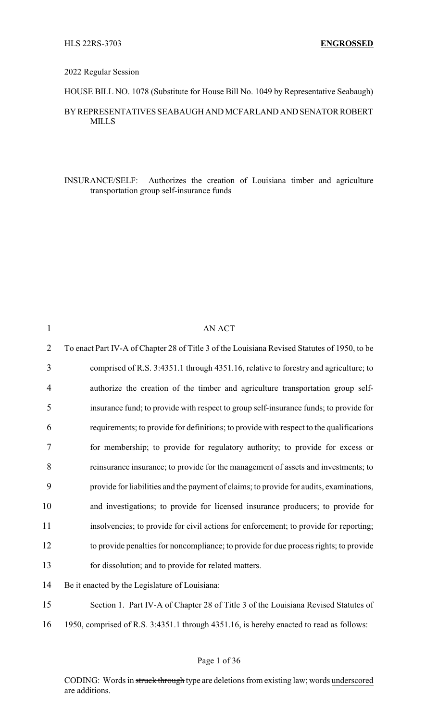#### 2022 Regular Session

HOUSE BILL NO. 1078 (Substitute for House Bill No. 1049 by Representative Seabaugh)

### BY REPRESENTATIVES SEABAUGH AND MCFARLAND AND SENATOR ROBERT MILLS

INSURANCE/SELF: Authorizes the creation of Louisiana timber and agriculture transportation group self-insurance funds

| $\mathbf{1}$   | <b>AN ACT</b>                                                                                |
|----------------|----------------------------------------------------------------------------------------------|
| $\overline{2}$ | To enact Part IV-A of Chapter 28 of Title 3 of the Louisiana Revised Statutes of 1950, to be |
| 3              | comprised of R.S. 3:4351.1 through 4351.16, relative to forestry and agriculture; to         |
| 4              | authorize the creation of the timber and agriculture transportation group self-              |
| 5              | insurance fund; to provide with respect to group self-insurance funds; to provide for        |
| 6              | requirements; to provide for definitions; to provide with respect to the qualifications      |
| 7              | for membership; to provide for regulatory authority; to provide for excess or                |
| 8              | reinsurance insurance; to provide for the management of assets and investments; to           |
| 9              | provide for liabilities and the payment of claims; to provide for audits, examinations,      |
| 10             | and investigations; to provide for licensed insurance producers; to provide for              |
| 11             | insolvencies; to provide for civil actions for enforcement; to provide for reporting;        |
| 12             | to provide penalties for noncompliance; to provide for due process rights; to provide        |
| 13             | for dissolution; and to provide for related matters.                                         |
| 14             | Be it enacted by the Legislature of Louisiana:                                               |
| 15             | Section 1. Part IV-A of Chapter 28 of Title 3 of the Louisiana Revised Statutes of           |
| 16             | 1950, comprised of R.S. 3:4351.1 through 4351.16, is hereby enacted to read as follows:      |
|                |                                                                                              |

CODING: Words in struck through type are deletions from existing law; words underscored are additions.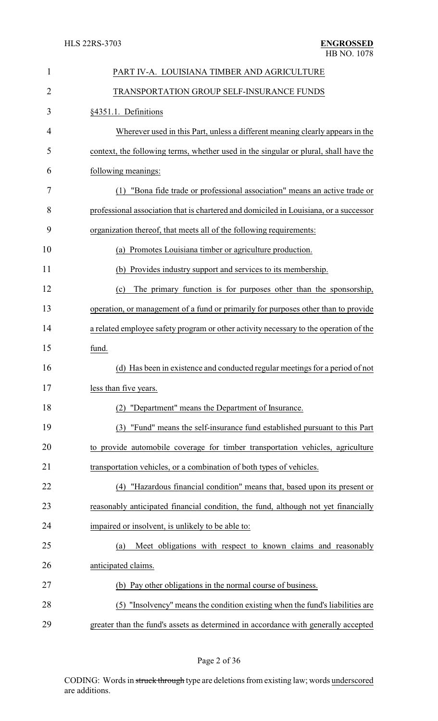| $\mathbf{1}$ | PART IV-A. LOUISIANA TIMBER AND AGRICULTURE                                           |
|--------------|---------------------------------------------------------------------------------------|
| 2            | TRANSPORTATION GROUP SELF-INSURANCE FUNDS                                             |
| 3            | §4351.1. Definitions                                                                  |
| 4            | Wherever used in this Part, unless a different meaning clearly appears in the         |
| 5            | context, the following terms, whether used in the singular or plural, shall have the  |
| 6            | following meanings:                                                                   |
| 7            | "Bona fide trade or professional association" means an active trade or<br>(1)         |
| 8            | professional association that is chartered and domiciled in Louisiana, or a successor |
| 9            | organization thereof, that meets all of the following requirements:                   |
| 10           | (a) Promotes Louisiana timber or agriculture production.                              |
| 11           | (b) Provides industry support and services to its membership.                         |
| 12           | The primary function is for purposes other than the sponsorship,<br>(c)               |
| 13           | operation, or management of a fund or primarily for purposes other than to provide    |
| 14           | a related employee safety program or other activity necessary to the operation of the |
| 15           | fund.                                                                                 |
| 16           | (d) Has been in existence and conducted regular meetings for a period of not          |
| 17           | less than five years.                                                                 |
| 18           | "Department" means the Department of Insurance.<br>(2)                                |
| 19           | "Fund" means the self-insurance fund established pursuant to this Part<br>(3)         |
| 20           | to provide automobile coverage for timber transportation vehicles, agriculture        |
| 21           | transportation vehicles, or a combination of both types of vehicles.                  |
| 22           | "Hazardous financial condition" means that, based upon its present or<br>(4)          |
| 23           | reasonably anticipated financial condition, the fund, although not yet financially    |
| 24           | impaired or insolvent, is unlikely to be able to:                                     |
| 25           | Meet obligations with respect to known claims and reasonably<br>(a)                   |
| 26           | anticipated claims.                                                                   |
| 27           | (b) Pay other obligations in the normal course of business.                           |
| 28           | "Insolvency" means the condition existing when the fund's liabilities are<br>(5)      |
| 29           | greater than the fund's assets as determined in accordance with generally accepted    |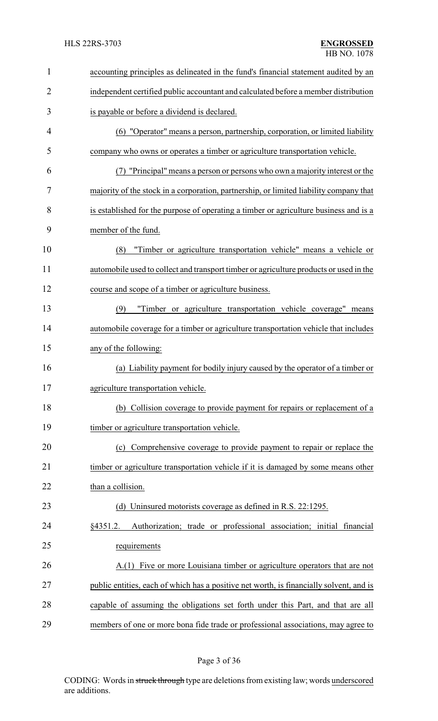| $\mathbf{1}$   | accounting principles as delineated in the fund's financial statement audited by an     |
|----------------|-----------------------------------------------------------------------------------------|
| $\overline{2}$ | independent certified public accountant and calculated before a member distribution     |
| 3              | is payable or before a dividend is declared.                                            |
| 4              | (6) "Operator" means a person, partnership, corporation, or limited liability           |
| 5              | company who owns or operates a timber or agriculture transportation vehicle.            |
| 6              | (7) "Principal" means a person or persons who own a majority interest or the            |
| 7              | majority of the stock in a corporation, partnership, or limited liability company that  |
| 8              | is established for the purpose of operating a timber or agriculture business and is a   |
| 9              | member of the fund.                                                                     |
| 10             | "Timber or agriculture transportation vehicle" means a vehicle or<br>(8)                |
| 11             | automobile used to collect and transport timber or agriculture products or used in the  |
| 12             | course and scope of a timber or agriculture business.                                   |
| 13             | "Timber or agriculture transportation vehicle coverage" means<br>(9)                    |
| 14             | automobile coverage for a timber or agriculture transportation vehicle that includes    |
| 15             | any of the following:                                                                   |
| 16             | (a) Liability payment for bodily injury caused by the operator of a timber or           |
| 17             | agriculture transportation vehicle.                                                     |
| 18             | (b) Collision coverage to provide payment for repairs or replacement of a               |
| 19             | timber or agriculture transportation vehicle.                                           |
| 20             | Comprehensive coverage to provide payment to repair or replace the<br>(c)               |
| 21             | timber or agriculture transportation vehicle if it is damaged by some means other       |
| 22             | than a collision.                                                                       |
| 23             | (d) Uninsured motorists coverage as defined in R.S. 22:1295.                            |
| 24             | Authorization; trade or professional association; initial financial<br>§4351.2.         |
| 25             | requirements                                                                            |
| 26             | A.(1) Five or more Louisiana timber or agriculture operators that are not               |
| 27             | public entities, each of which has a positive net worth, is financially solvent, and is |
| 28             | capable of assuming the obligations set forth under this Part, and that are all         |
| 29             | members of one or more bona fide trade or professional associations, may agree to       |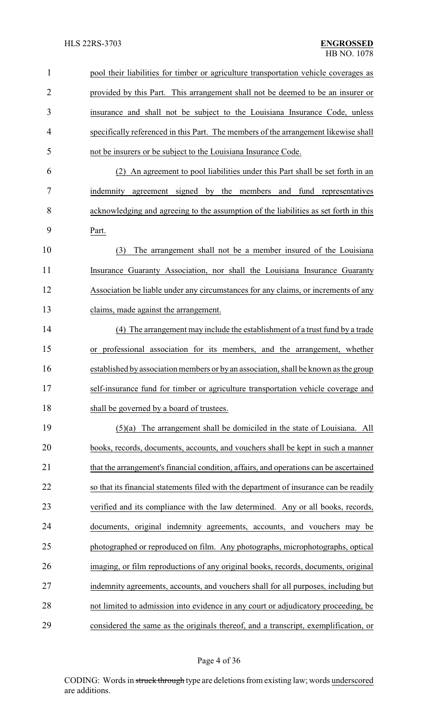## HLS 22RS-3703 **ENGROSSED**

| $\mathbf{1}$   | pool their liabilities for timber or agriculture transportation vehicle coverages as   |
|----------------|----------------------------------------------------------------------------------------|
| $\overline{2}$ | provided by this Part. This arrangement shall not be deemed to be an insurer or        |
| 3              | insurance and shall not be subject to the Louisiana Insurance Code, unless             |
| 4              | specifically referenced in this Part. The members of the arrangement likewise shall    |
| 5              | not be insurers or be subject to the Louisiana Insurance Code.                         |
| 6              | (2) An agreement to pool liabilities under this Part shall be set forth in an          |
| 7              | indemnity agreement signed by the members and fund representatives                     |
| 8              | acknowledging and agreeing to the assumption of the liabilities as set forth in this   |
| 9              | Part.                                                                                  |
| 10             | The arrangement shall not be a member insured of the Louisiana<br>(3)                  |
| 11             | Insurance Guaranty Association, nor shall the Louisiana Insurance Guaranty             |
| 12             | Association be liable under any circumstances for any claims, or increments of any     |
| 13             | claims, made against the arrangement.                                                  |
| 14             | (4) The arrangement may include the establishment of a trust fund by a trade           |
| 15             | or professional association for its members, and the arrangement, whether              |
| 16             | established by association members or by an association, shall be known as the group   |
| 17             | self-insurance fund for timber or agriculture transportation vehicle coverage and      |
| 18             | shall be governed by a board of trustees.                                              |
| 19             | $(5)(a)$ The arrangement shall be domiciled in the state of Louisiana. All             |
| 20             | books, records, documents, accounts, and vouchers shall be kept in such a manner       |
| 21             | that the arrangement's financial condition, affairs, and operations can be ascertained |
| 22             | so that its financial statements filed with the department of insurance can be readily |
| 23             | verified and its compliance with the law determined. Any or all books, records,        |
| 24             | documents, original indemnity agreements, accounts, and vouchers may be                |
| 25             | photographed or reproduced on film. Any photographs, microphotographs, optical         |
| 26             | imaging, or film reproductions of any original books, records, documents, original     |
| 27             | indemnity agreements, accounts, and vouchers shall for all purposes, including but     |
| 28             | not limited to admission into evidence in any court or adjudicatory proceeding, be     |
| 29             | considered the same as the originals thereof, and a transcript, exemplification, or    |

# Page 4 of 36

CODING: Words in struck through type are deletions from existing law; words underscored are additions.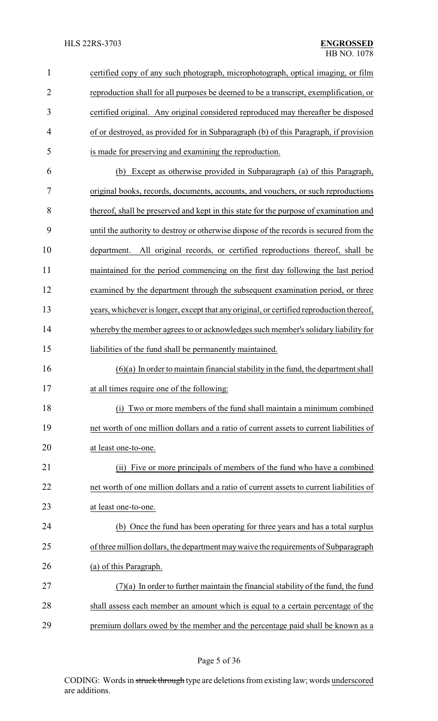| $\mathbf{1}$   | certified copy of any such photograph, microphotograph, optical imaging, or film         |
|----------------|------------------------------------------------------------------------------------------|
| $\overline{2}$ | reproduction shall for all purposes be deemed to be a transcript, exemplification, or    |
| 3              | certified original. Any original considered reproduced may thereafter be disposed        |
| 4              | of or destroyed, as provided for in Subparagraph (b) of this Paragraph, if provision     |
| 5              | is made for preserving and examining the reproduction.                                   |
| 6              | Except as otherwise provided in Subparagraph (a) of this Paragraph,<br>(b)               |
| 7              | original books, records, documents, accounts, and vouchers, or such reproductions        |
| 8              | thereof, shall be preserved and kept in this state for the purpose of examination and    |
| 9              | until the authority to destroy or otherwise dispose of the records is secured from the   |
| 10             | department. All original records, or certified reproductions thereof, shall be           |
| 11             | maintained for the period commencing on the first day following the last period          |
| 12             | examined by the department through the subsequent examination period, or three           |
| 13             | years, whichever is longer, except that any original, or certified reproduction thereof, |
| 14             | whereby the member agrees to or acknowledges such member's solidary liability for        |
| 15             | liabilities of the fund shall be permanently maintained.                                 |
| 16             | $(6)(a)$ In order to maintain financial stability in the fund, the department shall      |
| 17             | at all times require one of the following:                                               |
| 18             | (i) Two or more members of the fund shall maintain a minimum combined                    |
| 19             | net worth of one million dollars and a ratio of current assets to current liabilities of |
| 20             | at least one-to-one.                                                                     |
| 21             | Five or more principals of members of the fund who have a combined<br>(ii)               |
| 22             | net worth of one million dollars and a ratio of current assets to current liabilities of |
| 23             | at least one-to-one.                                                                     |
| 24             | (b) Once the fund has been operating for three years and has a total surplus             |
| 25             | of three million dollars, the department may waive the requirements of Subparagraph      |
| 26             | (a) of this Paragraph.                                                                   |
| 27             | $(7)(a)$ In order to further maintain the financial stability of the fund, the fund      |
| 28             | shall assess each member an amount which is equal to a certain percentage of the         |
| 29             | premium dollars owed by the member and the percentage paid shall be known as a           |

Page 5 of 36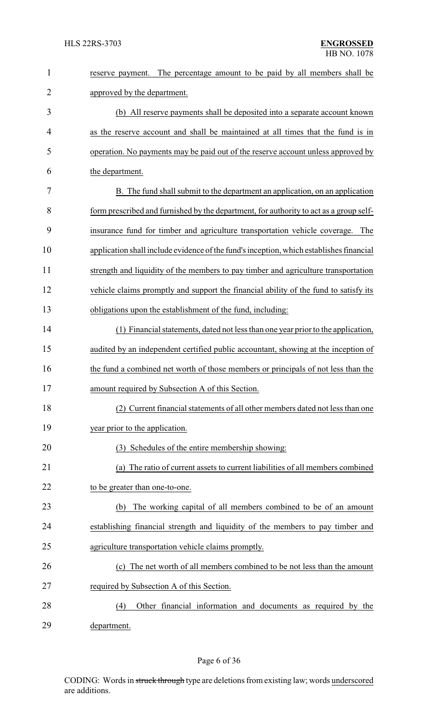| $\mathbf{1}$   | The percentage amount to be paid by all members shall be<br>reserve payment.            |
|----------------|-----------------------------------------------------------------------------------------|
| $\overline{2}$ | approved by the department.                                                             |
| 3              | (b) All reserve payments shall be deposited into a separate account known               |
| 4              | as the reserve account and shall be maintained at all times that the fund is in         |
| 5              | operation. No payments may be paid out of the reserve account unless approved by        |
| 6              | the department.                                                                         |
| 7              | B. The fund shall submit to the department an application, on an application            |
| 8              | form prescribed and furnished by the department, for authority to act as a group self-  |
| 9              | insurance fund for timber and agriculture transportation vehicle coverage. The          |
| 10             | application shall include evidence of the fund's inception, which establishes financial |
| 11             | strength and liquidity of the members to pay timber and agriculture transportation      |
| 12             | vehicle claims promptly and support the financial ability of the fund to satisfy its    |
| 13             | obligations upon the establishment of the fund, including:                              |
| 14             | (1) Financial statements, dated not less than one year prior to the application,        |
| 15             | audited by an independent certified public accountant, showing at the inception of      |
| 16             | the fund a combined net worth of those members or principals of not less than the       |
| 17             | amount required by Subsection A of this Section                                         |
| 18             | (2) Current financial statements of all other members dated not less than one           |
| 19             | year prior to the application.                                                          |
| 20             | (3) Schedules of the entire membership showing:                                         |
| 21             | The ratio of current assets to current liabilities of all members combined<br>(a)       |
| 22             | to be greater than one-to-one.                                                          |
| 23             | The working capital of all members combined to be of an amount<br>(b)                   |
| 24             | establishing financial strength and liquidity of the members to pay timber and          |
| 25             | agriculture transportation vehicle claims promptly.                                     |
| 26             | (c) The net worth of all members combined to be not less than the amount                |
| 27             | required by Subsection A of this Section.                                               |
| 28             | Other financial information and documents as required by the<br>(4)                     |
| 29             | department.                                                                             |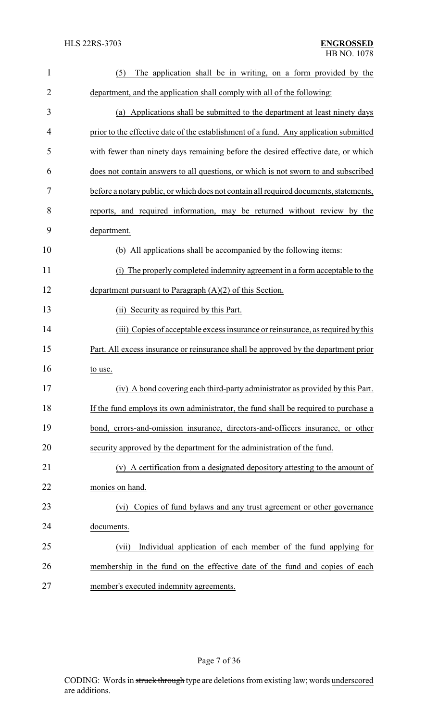| $\mathbf{1}$   | (5)<br>The application shall be in writing, on a form provided by the                 |
|----------------|---------------------------------------------------------------------------------------|
| $\overline{2}$ | department, and the application shall comply with all of the following:               |
| 3              | (a) Applications shall be submitted to the department at least ninety days            |
| 4              | prior to the effective date of the establishment of a fund. Any application submitted |
| 5              | with fewer than ninety days remaining before the desired effective date, or which     |
| 6              | does not contain answers to all questions, or which is not sworn to and subscribed    |
| 7              | before a notary public, or which does not contain all required documents, statements, |
| 8              | reports, and required information, may be returned without review by the              |
| 9              | department.                                                                           |
| 10             | (b) All applications shall be accompanied by the following items:                     |
| 11             | The properly completed indemnity agreement in a form acceptable to the<br>(i)         |
| 12             | department pursuant to Paragraph $(A)(2)$ of this Section.                            |
| 13             | (ii) Security as required by this Part.                                               |
| 14             | (iii) Copies of acceptable excess insurance or reinsurance, as required by this       |
| 15             | Part. All excess insurance or reinsurance shall be approved by the department prior   |
| 16             | to use.                                                                               |
| 17             | (iv) A bond covering each third-party administrator as provided by this Part.         |
| 18             | If the fund employs its own administrator, the fund shall be required to purchase a   |
| 19             | bond, errors-and-omission insurance, directors-and-officers insurance, or other       |
| 20             | security approved by the department for the administration of the fund.               |
| 21             | (v) A certification from a designated depository attesting to the amount of           |
| 22             | monies on hand.                                                                       |
| 23             | Copies of fund bylaws and any trust agreement or other governance<br>(vi)             |
| 24             | documents.                                                                            |
| 25             | Individual application of each member of the fund applying for<br>(vii)               |
| 26             | membership in the fund on the effective date of the fund and copies of each           |
| 27             | member's executed indemnity agreements.                                               |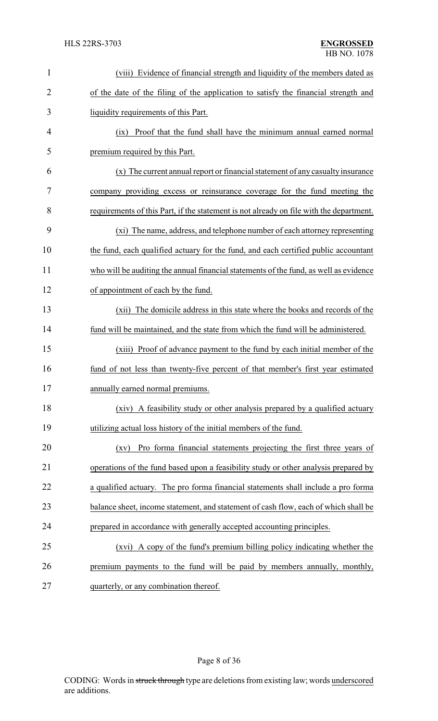| $\mathbf{1}$   | (viii) Evidence of financial strength and liquidity of the members dated as             |
|----------------|-----------------------------------------------------------------------------------------|
| $\overline{2}$ | of the date of the filing of the application to satisfy the financial strength and      |
| 3              | liquidity requirements of this Part.                                                    |
| 4              | Proof that the fund shall have the minimum annual earned normal<br>(ix)                 |
| 5              | premium required by this Part.                                                          |
| 6              | (x) The current annual report or financial statement of any casualty insurance          |
| 7              | company providing excess or reinsurance coverage for the fund meeting the               |
| 8              | requirements of this Part, if the statement is not already on file with the department. |
| 9              | (xi) The name, address, and telephone number of each attorney representing              |
| 10             | the fund, each qualified actuary for the fund, and each certified public accountant     |
| 11             | who will be auditing the annual financial statements of the fund, as well as evidence   |
| 12             | of appointment of each by the fund.                                                     |
| 13             | (xii) The domicile address in this state where the books and records of the             |
| 14             | fund will be maintained, and the state from which the fund will be administered.        |
| 15             | (xiii) Proof of advance payment to the fund by each initial member of the               |
| 16             | fund of not less than twenty-five percent of that member's first year estimated         |
| 17             | annually earned normal premiums.                                                        |
| 18             | (xiv) A feasibility study or other analysis prepared by a qualified actuary             |
| 19             | utilizing actual loss history of the initial members of the fund.                       |
| 20             | Pro forma financial statements projecting the first three years of<br>(xy)              |
| 21             | operations of the fund based upon a feasibility study or other analysis prepared by     |
| 22             | a qualified actuary. The pro forma financial statements shall include a pro forma       |
| 23             | balance sheet, income statement, and statement of cash flow, each of which shall be     |
| 24             | prepared in accordance with generally accepted accounting principles.                   |
| 25             | (xvi) A copy of the fund's premium billing policy indicating whether the                |
| 26             | premium payments to the fund will be paid by members annually, monthly,                 |
| 27             | quarterly, or any combination thereof.                                                  |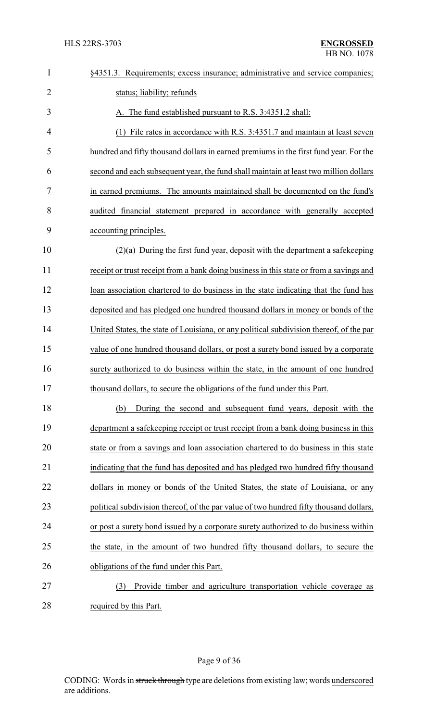| $\mathbf{1}$   | §4351.3. Requirements; excess insurance; administrative and service companies;          |
|----------------|-----------------------------------------------------------------------------------------|
| $\overline{2}$ | status; liability; refunds                                                              |
| 3              | A. The fund established pursuant to R.S. 3:4351.2 shall:                                |
| 4              | File rates in accordance with R.S. 3:4351.7 and maintain at least seven                 |
| 5              | hundred and fifty thousand dollars in earned premiums in the first fund year. For the   |
| 6              | second and each subsequent year, the fund shall maintain at least two million dollars   |
| 7              | in earned premiums. The amounts maintained shall be documented on the fund's            |
| 8              | audited financial statement prepared in accordance with generally accepted              |
| 9              | accounting principles.                                                                  |
| 10             | $(2)(a)$ During the first fund year, deposit with the department a safekeeping          |
| 11             | receipt or trust receipt from a bank doing business in this state or from a savings and |
| 12             | loan association chartered to do business in the state indicating that the fund has     |
| 13             | deposited and has pledged one hundred thousand dollars in money or bonds of the         |
| 14             | United States, the state of Louisiana, or any political subdivision thereof, of the par |
| 15             | value of one hundred thousand dollars, or post a surety bond issued by a corporate      |
| 16             | surety authorized to do business within the state, in the amount of one hundred         |
| 17             | thousand dollars, to secure the obligations of the fund under this Part.                |
| 18             | During the second and subsequent fund years, deposit with the<br>(b)                    |
| 19             | department a safekeeping receipt or trust receipt from a bank doing business in this    |
| 20             | state or from a savings and loan association chartered to do business in this state     |
| 21             | indicating that the fund has deposited and has pledged two hundred fifty thousand       |
| 22             | dollars in money or bonds of the United States, the state of Louisiana, or any          |
| 23             | political subdivision thereof, of the par value of two hundred fifty thousand dollars,  |
| 24             | or post a surety bond issued by a corporate surety authorized to do business within     |
| 25             | the state, in the amount of two hundred fifty thousand dollars, to secure the           |
| 26             | obligations of the fund under this Part.                                                |
| 27             | Provide timber and agriculture transportation vehicle coverage as<br>(3)                |
| 28             | required by this Part.                                                                  |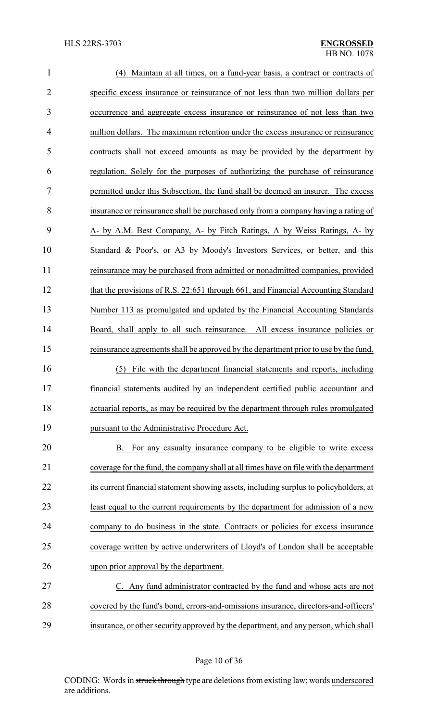| $\mathbf{1}$   | (4) Maintain at all times, on a fund-year basis, a contract or contracts of            |
|----------------|----------------------------------------------------------------------------------------|
| $\overline{2}$ | specific excess insurance or reinsurance of not less than two million dollars per      |
| 3              | occurrence and aggregate excess insurance or reinsurance of not less than two          |
| 4              | million dollars. The maximum retention under the excess insurance or reinsurance       |
| 5              | contracts shall not exceed amounts as may be provided by the department by             |
| 6              | regulation. Solely for the purposes of authorizing the purchase of reinsurance         |
| 7              | permitted under this Subsection, the fund shall be deemed an insurer. The excess       |
| 8              | insurance or reinsurance shall be purchased only from a company having a rating of     |
| 9              | A- by A.M. Best Company, A- by Fitch Ratings, A by Weiss Ratings, A- by                |
| 10             | Standard & Poor's, or A3 by Moody's Investors Services, or better, and this            |
| 11             | reinsurance may be purchased from admitted or nonadmitted companies, provided          |
| 12             | that the provisions of R.S. 22:651 through 661, and Financial Accounting Standard      |
| 13             | Number 113 as promulgated and updated by the Financial Accounting Standards            |
| 14             | Board, shall apply to all such reinsurance. All excess insurance policies or           |
| 15             | reinsurance agreements shall be approved by the department prior to use by the fund.   |
| 16             | File with the department financial statements and reports, including<br>(5)            |
| 17             | financial statements audited by an independent certified public accountant and         |
| 18             | actuarial reports, as may be required by the department through rules promulgated      |
| 19             | pursuant to the Administrative Procedure Act.                                          |
| 20             | For any casualty insurance company to be eligible to write excess<br>В.                |
| 21             | coverage for the fund, the company shall at all times have on file with the department |
| 22             | its current financial statement showing assets, including surplus to policyholders, at |
| 23             | least equal to the current requirements by the department for admission of a new       |
| 24             | company to do business in the state. Contracts or policies for excess insurance        |
| 25             | coverage written by active underwriters of Lloyd's of London shall be acceptable       |
| 26             | upon prior approval by the department.                                                 |
| 27             | C. Any fund administrator contracted by the fund and whose acts are not                |
| 28             | covered by the fund's bond, errors-and-omissions insurance, directors-and-officers'    |
| 29             | insurance, or other security approved by the department, and any person, which shall   |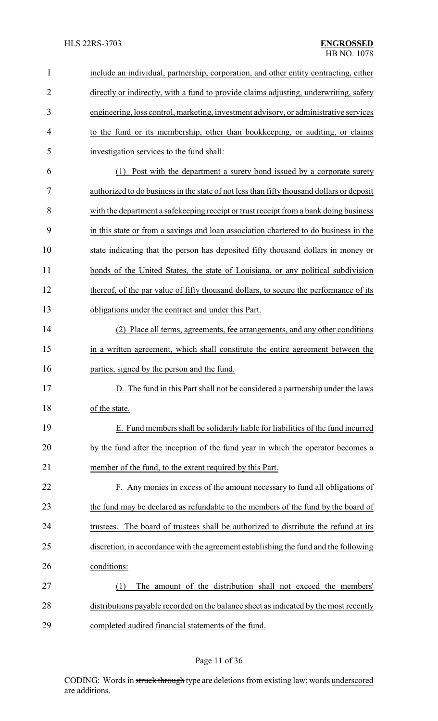## HLS 22RS-3703 **ENGROSSED**

| $\mathbf{1}$   | include an individual, partnership, corporation, and other entity contracting, either     |
|----------------|-------------------------------------------------------------------------------------------|
| $\overline{2}$ | directly or indirectly, with a fund to provide claims adjusting, underwriting, safety     |
| 3              | engineering, loss control, marketing, investment advisory, or administrative services     |
| 4              | to the fund or its membership, other than bookkeeping, or auditing, or claims             |
| 5              | investigation services to the fund shall:                                                 |
| 6              | (1) Post with the department a surety bond issued by a corporate surety                   |
| 7              | authorized to do business in the state of not less than fifty thousand dollars or deposit |
| 8              | with the department a safekeeping receipt or trust receipt from a bank doing business     |
| 9              | in this state or from a savings and loan association chartered to do business in the      |
| 10             | state indicating that the person has deposited fifty thousand dollars in money or         |
| 11             | bonds of the United States, the state of Louisiana, or any political subdivision          |
| 12             | thereof, of the par value of fifty thousand dollars, to secure the performance of its     |
| 13             | obligations under the contract and under this Part.                                       |
| 14             | (2) Place all terms, agreements, fee arrangements, and any other conditions               |
| 15             | in a written agreement, which shall constitute the entire agreement between the           |
| 16             | parties, signed by the person and the fund.                                               |
| 17             | D. The fund in this Part shall not be considered a partnership under the laws             |
| 18             | of the state.                                                                             |
| 19             | E. Fund members shall be solidarily liable for liabilities of the fund incurred           |
| 20             | by the fund after the inception of the fund year in which the operator becomes a          |
| 21             | member of the fund, to the extent required by this Part.                                  |
| 22             | F. Any monies in excess of the amount necessary to fund all obligations of                |
| 23             | the fund may be declared as refundable to the members of the fund by the board of         |
| 24             | The board of trustees shall be authorized to distribute the refund at its<br>trustees.    |
| 25             | discretion, in accordance with the agreement establishing the fund and the following      |
| 26             | conditions:                                                                               |
| 27             | The amount of the distribution shall not exceed the members'<br>(1)                       |
| 28             | distributions payable recorded on the balance sheet as indicated by the most recently     |
| 29             | completed audited financial statements of the fund.                                       |

# Page 11 of 36

CODING: Words in struck through type are deletions from existing law; words underscored are additions.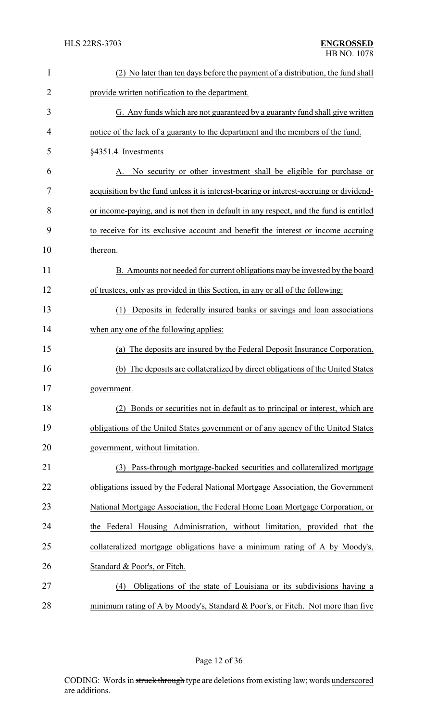| $\mathbf{1}$   | (2) No later than ten days before the payment of a distribution, the fund shall         |
|----------------|-----------------------------------------------------------------------------------------|
| $\overline{2}$ | provide written notification to the department.                                         |
| 3              | G. Any funds which are not guaranteed by a guaranty fund shall give written             |
| 4              | notice of the lack of a guaranty to the department and the members of the fund.         |
| 5              | §4351.4. Investments                                                                    |
| 6              | No security or other investment shall be eligible for purchase or<br>A.                 |
| 7              | acquisition by the fund unless it is interest-bearing or interest-accruing or dividend- |
| 8              | or income-paying, and is not then in default in any respect, and the fund is entitled   |
| 9              | to receive for its exclusive account and benefit the interest or income accruing        |
| 10             | thereon.                                                                                |
| 11             | B. Amounts not needed for current obligations may be invested by the board              |
| 12             | of trustees, only as provided in this Section, in any or all of the following:          |
| 13             | Deposits in federally insured banks or savings and loan associations<br>(1)             |
| 14             | when any one of the following applies:                                                  |
| 15             | (a) The deposits are insured by the Federal Deposit Insurance Corporation.              |
| 16             | (b) The deposits are collateralized by direct obligations of the United States          |
| 17             | government.                                                                             |
| 18             | (2) Bonds or securities not in default as to principal or interest, which are           |
| 19             | obligations of the United States government or of any agency of the United States       |
| 20             | government, without limitation.                                                         |
| 21             | Pass-through mortgage-backed securities and collateralized mortgage<br>(3)              |
| 22             | obligations issued by the Federal National Mortgage Association, the Government         |
| 23             | National Mortgage Association, the Federal Home Loan Mortgage Corporation, or           |
| 24             | the Federal Housing Administration, without limitation, provided that the               |
| 25             | collateralized mortgage obligations have a minimum rating of A by Moody's,              |
| 26             | Standard & Poor's, or Fitch.                                                            |
| 27             | Obligations of the state of Louisiana or its subdivisions having a<br>(4)               |
| 28             | minimum rating of A by Moody's, Standard & Poor's, or Fitch. Not more than five         |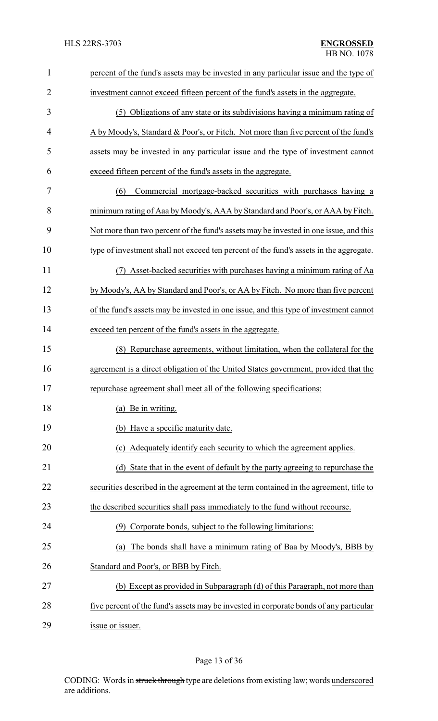| $\mathbf{1}$   | percent of the fund's assets may be invested in any particular issue and the type of   |
|----------------|----------------------------------------------------------------------------------------|
| $\overline{2}$ | investment cannot exceed fifteen percent of the fund's assets in the aggregate.        |
| 3              | (5) Obligations of any state or its subdivisions having a minimum rating of            |
| 4              | A by Moody's, Standard & Poor's, or Fitch. Not more than five percent of the fund's    |
| 5              | assets may be invested in any particular issue and the type of investment cannot       |
| 6              | exceed fifteen percent of the fund's assets in the aggregate.                          |
| 7              | Commercial mortgage-backed securities with purchases having a<br>(6)                   |
| 8              | minimum rating of Aaa by Moody's, AAA by Standard and Poor's, or AAA by Fitch.         |
| 9              | Not more than two percent of the fund's assets may be invested in one issue, and this  |
| 10             | type of investment shall not exceed ten percent of the fund's assets in the aggregate. |
| 11             | (7) Asset-backed securities with purchases having a minimum rating of Aa               |
| 12             | by Moody's, AA by Standard and Poor's, or AA by Fitch. No more than five percent       |
| 13             | of the fund's assets may be invested in one issue, and this type of investment cannot  |
| 14             | exceed ten percent of the fund's assets in the aggregate.                              |
| 15             | Repurchase agreements, without limitation, when the collateral for the<br>(8)          |
| 16             | agreement is a direct obligation of the United States government, provided that the    |
| 17             | repurchase agreement shall meet all of the following specifications:                   |
| 18             | (a) Be in writing.                                                                     |
| 19             | (b) Have a specific maturity date.                                                     |
| 20             | (c) Adequately identify each security to which the agreement applies.                  |
| 21             | (d) State that in the event of default by the party agreeing to repurchase the         |
| 22             | securities described in the agreement at the term contained in the agreement, title to |
| 23             | the described securities shall pass immediately to the fund without recourse.          |
| 24             | Corporate bonds, subject to the following limitations:<br>(9)                          |
| 25             | The bonds shall have a minimum rating of Baa by Moody's, BBB by<br>(a)                 |
| 26             | Standard and Poor's, or BBB by Fitch.                                                  |
| 27             | (b) Except as provided in Subparagraph (d) of this Paragraph, not more than            |
| 28             | five percent of the fund's assets may be invested in corporate bonds of any particular |
| 29             | issue or issuer.                                                                       |

# Page 13 of 36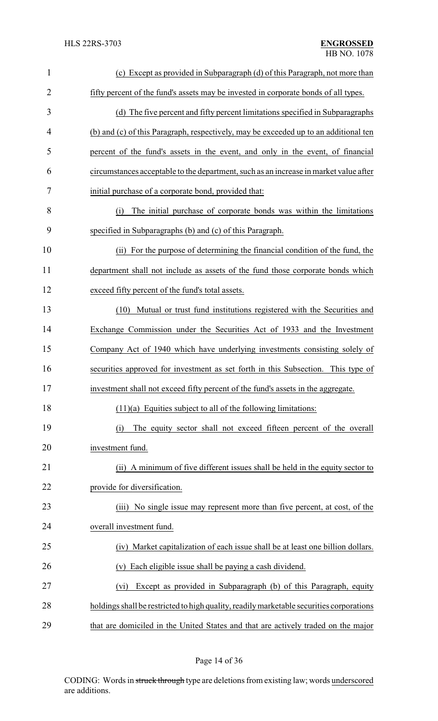| $\mathbf{1}$   | (c) Except as provided in Subparagraph (d) of this Paragraph, not more than              |
|----------------|------------------------------------------------------------------------------------------|
| $\overline{2}$ | fifty percent of the fund's assets may be invested in corporate bonds of all types.      |
| 3              | (d) The five percent and fifty percent limitations specified in Subparagraphs            |
| 4              | (b) and (c) of this Paragraph, respectively, may be exceeded up to an additional ten     |
| 5              | percent of the fund's assets in the event, and only in the event, of financial           |
| 6              | circumstances acceptable to the department, such as an increase in market value after    |
| 7              | initial purchase of a corporate bond, provided that:                                     |
| 8              | The initial purchase of corporate bonds was within the limitations<br>(i)                |
| 9              | specified in Subparagraphs (b) and (c) of this Paragraph.                                |
| 10             | (ii) For the purpose of determining the financial condition of the fund, the             |
| 11             | department shall not include as assets of the fund those corporate bonds which           |
| 12             | exceed fifty percent of the fund's total assets.                                         |
| 13             | (10) Mutual or trust fund institutions registered with the Securities and                |
| 14             | Exchange Commission under the Securities Act of 1933 and the Investment                  |
| 15             | Company Act of 1940 which have underlying investments consisting solely of               |
| 16             | securities approved for investment as set forth in this Subsection. This type of         |
| 17             | investment shall not exceed fifty percent of the fund's assets in the aggregate.         |
| 18             | $(11)(a)$ Equities subject to all of the following limitations:                          |
| 19             | The equity sector shall not exceed fifteen percent of the overall<br>(i)                 |
| 20             | investment fund.                                                                         |
| 21             | (ii) A minimum of five different issues shall be held in the equity sector to            |
| 22             | provide for diversification.                                                             |
| 23             | (iii) No single issue may represent more than five percent, at cost, of the              |
| 24             | overall investment fund.                                                                 |
| 25             | (iv) Market capitalization of each issue shall be at least one billion dollars.          |
| 26             | Each eligible issue shall be paying a cash dividend.<br>(v)                              |
| 27             | Except as provided in Subparagraph (b) of this Paragraph, equity<br>(vi)                 |
| 28             | holdings shall be restricted to high quality, readily marketable securities corporations |
| 29             | that are domiciled in the United States and that are actively traded on the major        |

Page 14 of 36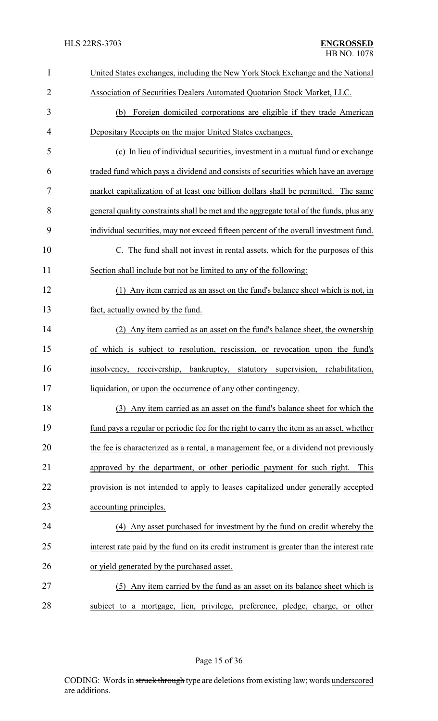| 1              | United States exchanges, including the New York Stock Exchange and the National           |
|----------------|-------------------------------------------------------------------------------------------|
| $\overline{2}$ | Association of Securities Dealers Automated Quotation Stock Market, LLC.                  |
| 3              | Foreign domiciled corporations are eligible if they trade American<br>(b)                 |
| $\overline{4}$ | Depositary Receipts on the major United States exchanges.                                 |
| 5              | (c) In lieu of individual securities, investment in a mutual fund or exchange             |
| 6              | traded fund which pays a dividend and consists of securities which have an average        |
| 7              | market capitalization of at least one billion dollars shall be permitted. The same        |
| 8              | general quality constraints shall be met and the aggregate total of the funds, plus any   |
| 9              | individual securities, may not exceed fifteen percent of the overall investment fund.     |
| 10             | C. The fund shall not invest in rental assets, which for the purposes of this             |
| 11             | Section shall include but not be limited to any of the following:                         |
| 12             | (1) Any item carried as an asset on the fund's balance sheet which is not, in             |
| 13             | fact, actually owned by the fund.                                                         |
| 14             | (2) Any item carried as an asset on the fund's balance sheet, the ownership               |
| 15             | of which is subject to resolution, rescission, or revocation upon the fund's              |
| 16             | insolvency, receivership, bankruptcy, statutory supervision, rehabilitation,              |
| 17             | liquidation, or upon the occurrence of any other contingency.                             |
| 18             | (3) Any item carried as an asset on the fund's balance sheet for which the                |
| 19             | fund pays a regular or periodic fee for the right to carry the item as an asset, whether  |
| 20             | the fee is characterized as a rental, a management fee, or a dividend not previously      |
| 21             | approved by the department, or other periodic payment for such right.<br>This             |
| 22             | provision is not intended to apply to leases capitalized under generally accepted         |
| 23             | accounting principles.                                                                    |
| 24             | (4) Any asset purchased for investment by the fund on credit whereby the                  |
| 25             | interest rate paid by the fund on its credit instrument is greater than the interest rate |
| 26             | or yield generated by the purchased asset.                                                |
| 27             | (5) Any item carried by the fund as an asset on its balance sheet which is                |
| 28             | subject to a mortgage, lien, privilege, preference, pledge, charge, or other              |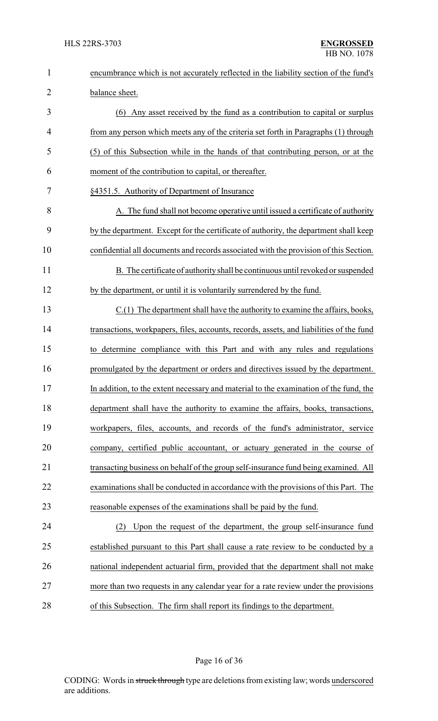| $\mathbf{1}$   | encumbrance which is not accurately reflected in the liability section of the fund's    |
|----------------|-----------------------------------------------------------------------------------------|
| $\overline{2}$ | balance sheet.                                                                          |
| 3              | (6) Any asset received by the fund as a contribution to capital or surplus              |
| $\overline{4}$ | from any person which meets any of the criteria set forth in Paragraphs (1) through     |
| 5              | (5) of this Subsection while in the hands of that contributing person, or at the        |
| 6              | moment of the contribution to capital, or thereafter.                                   |
| 7              | §4351.5. Authority of Department of Insurance                                           |
| 8              | A. The fund shall not become operative until issued a certificate of authority          |
| 9              | by the department. Except for the certificate of authority, the department shall keep   |
| 10             | confidential all documents and records associated with the provision of this Section.   |
| 11             | B. The certificate of authority shall be continuous until revoked or suspended          |
| 12             | by the department, or until it is voluntarily surrendered by the fund.                  |
| 13             | C.(1) The department shall have the authority to examine the affairs, books,            |
| 14             | transactions, workpapers, files, accounts, records, assets, and liabilities of the fund |
| 15             | to determine compliance with this Part and with any rules and regulations               |
| 16             | promulgated by the department or orders and directives issued by the department.        |
| 17             | In addition, to the extent necessary and material to the examination of the fund, the   |
| 18             | department shall have the authority to examine the affairs, books, transactions,        |
| 19             | workpapers, files, accounts, and records of the fund's administrator, service           |
| 20             | company, certified public accountant, or actuary generated in the course of             |
| 21             | transacting business on behalf of the group self-insurance fund being examined. All     |
| 22             | examinations shall be conducted in accordance with the provisions of this Part. The     |
| 23             | reasonable expenses of the examinations shall be paid by the fund.                      |
| 24             | Upon the request of the department, the group self-insurance fund<br>(2)                |
| 25             | established pursuant to this Part shall cause a rate review to be conducted by a        |
| 26             | national independent actuarial firm, provided that the department shall not make        |
| 27             | more than two requests in any calendar year for a rate review under the provisions      |
| 28             | of this Subsection. The firm shall report its findings to the department.               |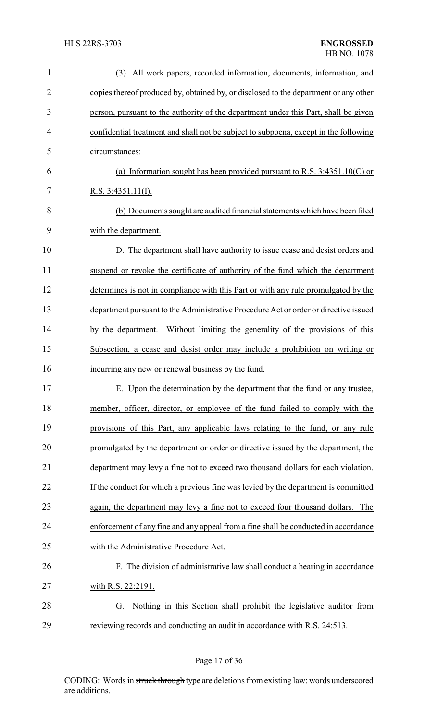| $\mathbf{1}$   | All work papers, recorded information, documents, information, and<br>(3)            |
|----------------|--------------------------------------------------------------------------------------|
| $\overline{2}$ | copies thereof produced by, obtained by, or disclosed to the department or any other |
| 3              | person, pursuant to the authority of the department under this Part, shall be given  |
| 4              | confidential treatment and shall not be subject to subpoena, except in the following |
| 5              | circumstances:                                                                       |
| 6              | (a) Information sought has been provided pursuant to R.S. $3:4351.10(C)$ or          |
| 7              | R.S. $3:4351.11(I)$ .                                                                |
| 8              | (b) Documents sought are audited financial statements which have been filed          |
| 9              | with the department.                                                                 |
| 10             | D. The department shall have authority to issue cease and desist orders and          |
| 11             | suspend or revoke the certificate of authority of the fund which the department      |
| 12             | determines is not in compliance with this Part or with any rule promulgated by the   |
| 13             | department pursuant to the Administrative Procedure Act or order or directive issued |
| 14             | by the department. Without limiting the generality of the provisions of this         |
| 15             | Subsection, a cease and desist order may include a prohibition on writing or         |
| 16             | incurring any new or renewal business by the fund.                                   |
| 17             | E. Upon the determination by the department that the fund or any trustee,            |
| 18             | member, officer, director, or employee of the fund failed to comply with the         |
| 19             | provisions of this Part, any applicable laws relating to the fund, or any rule       |
| 20             | promulgated by the department or order or directive issued by the department, the    |
| 21             | department may levy a fine not to exceed two thousand dollars for each violation.    |
| 22             | If the conduct for which a previous fine was levied by the department is committed   |
| 23             | again, the department may levy a fine not to exceed four thousand dollars. The       |
| 24             | enforcement of any fine and any appeal from a fine shall be conducted in accordance  |
| 25             | with the Administrative Procedure Act.                                               |
| 26             | F. The division of administrative law shall conduct a hearing in accordance          |
| 27             | with R.S. 22:2191.                                                                   |
| 28             | Nothing in this Section shall prohibit the legislative auditor from<br>G.            |
| 29             | reviewing records and conducting an audit in accordance with R.S. 24:513.            |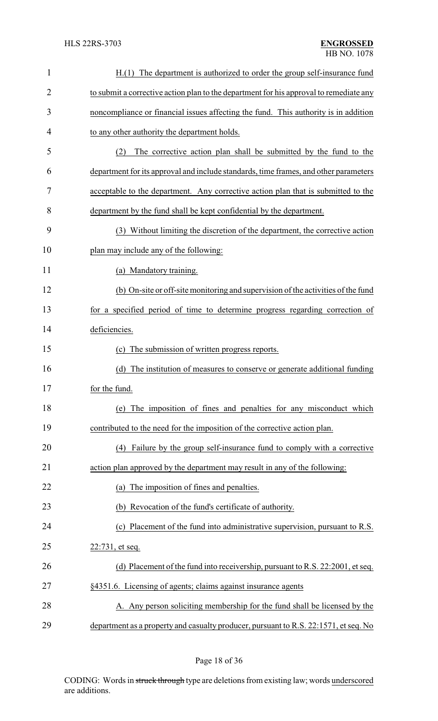| $\mathbf{1}$   | H.(1) The department is authorized to order the group self-insurance fund              |
|----------------|----------------------------------------------------------------------------------------|
| $\overline{2}$ | to submit a corrective action plan to the department for his approval to remediate any |
| 3              | noncompliance or financial issues affecting the fund. This authority is in addition    |
| $\overline{4}$ | to any other authority the department holds.                                           |
| 5              | The corrective action plan shall be submitted by the fund to the<br>(2)                |
| 6              | department for its approval and include standards, time frames, and other parameters   |
| 7              | acceptable to the department. Any corrective action plan that is submitted to the      |
| 8              | department by the fund shall be kept confidential by the department.                   |
| 9              | Without limiting the discretion of the department, the corrective action<br>(3)        |
| 10             | plan may include any of the following:                                                 |
| 11             | (a) Mandatory training.                                                                |
| 12             | (b) On-site or off-site monitoring and supervision of the activities of the fund       |
| 13             | for a specified period of time to determine progress regarding correction of           |
| 14             | deficiencies.                                                                          |
| 15             | The submission of written progress reports.<br>(c)                                     |
| 16             | The institution of measures to conserve or generate additional funding<br>(d)          |
| 17             | for the fund.                                                                          |
| 18             | (e) The imposition of fines and penalties for any misconduct which                     |
| 19             | contributed to the need for the imposition of the corrective action plan.              |
| 20             | (4) Failure by the group self-insurance fund to comply with a corrective               |
| 21             | action plan approved by the department may result in any of the following:             |
| 22             | (a) The imposition of fines and penalties.                                             |
| 23             | (b) Revocation of the fund's certificate of authority.                                 |
| 24             | (c) Placement of the fund into administrative supervision, pursuant to R.S.            |
| 25             | 22:731, et seq.                                                                        |
| 26             | (d) Placement of the fund into receivership, pursuant to R.S. 22:2001, et seq.         |
| 27             | §4351.6. Licensing of agents; claims against insurance agents                          |
| 28             | A. Any person soliciting membership for the fund shall be licensed by the              |
| 29             | department as a property and casualty producer, pursuant to R.S. 22:1571, et seq. No   |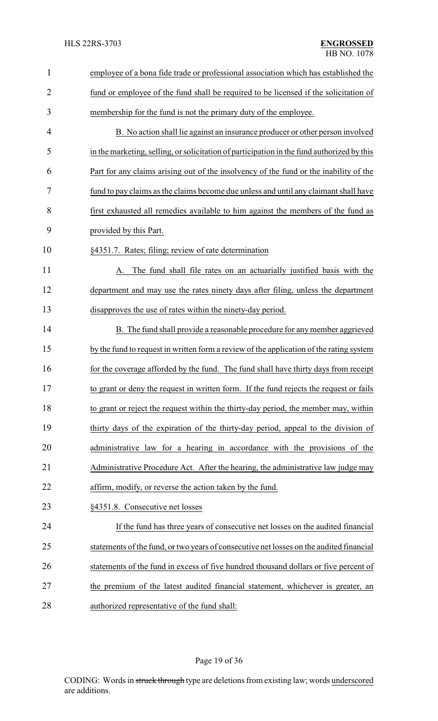| $\mathbf{1}$   | employee of a bona fide trade or professional association which has established the        |
|----------------|--------------------------------------------------------------------------------------------|
| $\overline{2}$ | fund or employee of the fund shall be required to be licensed if the solicitation of       |
| 3              | membership for the fund is not the primary duty of the employee.                           |
| 4              | B. No action shall lie against an insurance producer or other person involved              |
| 5              | in the marketing, selling, or solicitation of participation in the fund authorized by this |
| 6              | Part for any claims arising out of the insolvency of the fund or the inability of the      |
| 7              | fund to pay claims as the claims become due unless and until any claimant shall have       |
| 8              | first exhausted all remedies available to him against the members of the fund as           |
| 9              | provided by this Part.                                                                     |
| 10             | §4351.7. Rates; filing; review of rate determination                                       |
| 11             | The fund shall file rates on an actuarially justified basis with the<br>A.                 |
| 12             | department and may use the rates ninety days after filing, unless the department           |
| 13             | disapproves the use of rates within the ninety-day period.                                 |
| 14             | B. The fund shall provide a reasonable procedure for any member aggrieved                  |
| 15             | by the fund to request in written form a review of the application of the rating system    |
| 16             | for the coverage afforded by the fund. The fund shall have thirty days from receipt        |
| 17             | to grant or deny the request in written form. If the fund rejects the request or fails     |
| 18             | to grant or reject the request within the thirty-day period, the member may, within        |
| 19             | thirty days of the expiration of the thirty-day period, appeal to the division of          |
| 20             | administrative law for a hearing in accordance with the provisions of the                  |
| 21             | Administrative Procedure Act. After the hearing, the administrative law judge may          |
| 22             | affirm, modify, or reverse the action taken by the fund.                                   |
| 23             | §4351.8. Consecutive net losses                                                            |
| 24             | If the fund has three years of consecutive net losses on the audited financial             |
| 25             | statements of the fund, or two years of consecutive net losses on the audited financial    |
| 26             | statements of the fund in excess of five hundred thousand dollars or five percent of       |
| 27             | the premium of the latest audited financial statement, whichever is greater, an            |
| 28             | authorized representative of the fund shall:                                               |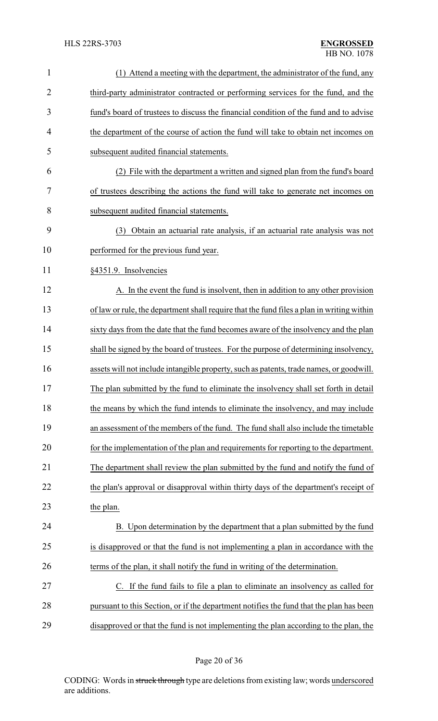| $\mathbf{1}$   | (1) Attend a meeting with the department, the administrator of the fund, any              |
|----------------|-------------------------------------------------------------------------------------------|
| $\overline{2}$ | third-party administrator contracted or performing services for the fund, and the         |
| 3              | fund's board of trustees to discuss the financial condition of the fund and to advise     |
| 4              | the department of the course of action the fund will take to obtain net incomes on        |
| 5              | subsequent audited financial statements.                                                  |
| 6              | (2) File with the department a written and signed plan from the fund's board              |
| 7              | of trustees describing the actions the fund will take to generate net incomes on          |
| 8              | subsequent audited financial statements.                                                  |
| 9              | Obtain an actuarial rate analysis, if an actuarial rate analysis was not<br>(3)           |
| 10             | performed for the previous fund year.                                                     |
| 11             | §4351.9. Insolvencies                                                                     |
| 12             | A. In the event the fund is insolvent, then in addition to any other provision            |
| 13             | of law or rule, the department shall require that the fund files a plan in writing within |
| 14             | sixty days from the date that the fund becomes aware of the insolvency and the plan       |
| 15             | shall be signed by the board of trustees. For the purpose of determining insolvency,      |
| 16             | assets will not include intangible property, such as patents, trade names, or goodwill.   |
| 17             | The plan submitted by the fund to eliminate the insolvency shall set forth in detail      |
| 18             | the means by which the fund intends to eliminate the insolvency, and may include          |
| 19             | an assessment of the members of the fund. The fund shall also include the timetable       |
| 20             | for the implementation of the plan and requirements for reporting to the department.      |
| 21             | The department shall review the plan submitted by the fund and notify the fund of         |
| 22             | the plan's approval or disapproval within thirty days of the department's receipt of      |
| 23             | the plan.                                                                                 |
| 24             | B. Upon determination by the department that a plan submitted by the fund                 |
| 25             | is disapproved or that the fund is not implementing a plan in accordance with the         |
| 26             | terms of the plan, it shall notify the fund in writing of the determination.              |
| 27             | C. If the fund fails to file a plan to eliminate an insolvency as called for              |
| 28             | pursuant to this Section, or if the department notifies the fund that the plan has been   |
| 29             | disapproved or that the fund is not implementing the plan according to the plan, the      |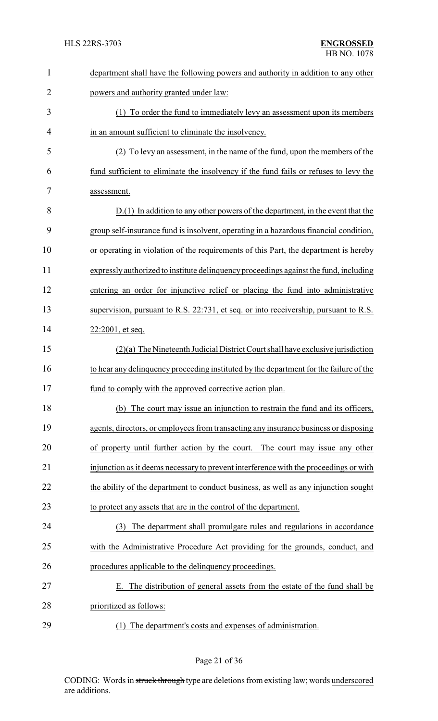| $\mathbf{1}$   | department shall have the following powers and authority in addition to any other      |
|----------------|----------------------------------------------------------------------------------------|
| $\overline{2}$ | powers and authority granted under law:                                                |
| 3              | (1) To order the fund to immediately levy an assessment upon its members               |
| 4              | in an amount sufficient to eliminate the insolvency.                                   |
| 5              | (2) To levy an assessment, in the name of the fund, upon the members of the            |
| 6              | fund sufficient to eliminate the insolvency if the fund fails or refuses to levy the   |
| 7              | assessment.                                                                            |
| 8              | $D(1)$ In addition to any other powers of the department, in the event that the        |
| 9              | group self-insurance fund is insolvent, operating in a hazardous financial condition,  |
| 10             | or operating in violation of the requirements of this Part, the department is hereby   |
| 11             | expressly authorized to institute delinquency proceedings against the fund, including  |
| 12             | entering an order for injunctive relief or placing the fund into administrative        |
| 13             | supervision, pursuant to R.S. 22:731, et seq. or into receivership, pursuant to R.S.   |
| 14             | $22:2001$ , et seq.                                                                    |
| 15             | $(2)(a)$ The Nineteenth Judicial District Court shall have exclusive jurisdiction      |
| 16             | to hear any delinquency proceeding instituted by the department for the failure of the |
| 17             | fund to comply with the approved corrective action plan                                |
| 18             | (b) The court may issue an injunction to restrain the fund and its officers,           |
| 19             | agents, directors, or employees from transacting any insurance business or disposing   |
| 20             | of property until further action by the court. The court may issue any other           |
| 21             | injunction as it deems necessary to prevent interference with the proceedings or with  |
| 22             | the ability of the department to conduct business, as well as any injunction sought    |
| 23             | to protect any assets that are in the control of the department.                       |
| 24             | (3) The department shall promulgate rules and regulations in accordance                |
| 25             | with the Administrative Procedure Act providing for the grounds, conduct, and          |
| 26             | procedures applicable to the delinquency proceedings.                                  |
| 27             | E. The distribution of general assets from the estate of the fund shall be             |
| 28             | prioritized as follows:                                                                |
| 29             | (1) The department's costs and expenses of administration.                             |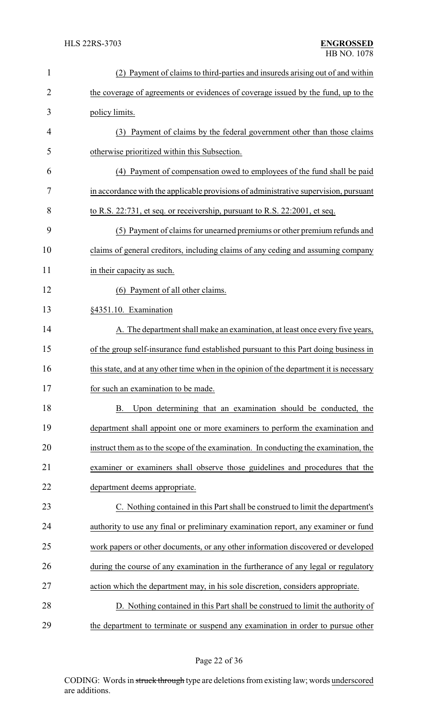| $\mathbf{1}$   | (2) Payment of claims to third-parties and insureds arising out of and within           |
|----------------|-----------------------------------------------------------------------------------------|
| $\overline{2}$ | the coverage of agreements or evidences of coverage issued by the fund, up to the       |
| 3              | policy limits.                                                                          |
| 4              | (3) Payment of claims by the federal government other than those claims                 |
| 5              | otherwise prioritized within this Subsection.                                           |
| 6              | (4) Payment of compensation owed to employees of the fund shall be paid                 |
| 7              | in accordance with the applicable provisions of administrative supervision, pursuant    |
| 8              | to R.S. 22:731, et seq. or receivership, pursuant to R.S. 22:2001, et seq.              |
| 9              | (5) Payment of claims for unearned premiums or other premium refunds and                |
| 10             | claims of general creditors, including claims of any ceding and assuming company        |
| 11             | in their capacity as such.                                                              |
| 12             | (6) Payment of all other claims.                                                        |
| 13             | §4351.10. Examination                                                                   |
| 14             | A. The department shall make an examination, at least once every five years,            |
| 15             | of the group self-insurance fund established pursuant to this Part doing business in    |
| 16             | this state, and at any other time when in the opinion of the department it is necessary |
| 17             | for such an examination to be made.                                                     |
| 18             | Upon determining that an examination should be conducted, the<br><b>B.</b>              |
| 19             | department shall appoint one or more examiners to perform the examination and           |
| 20             | instruct them as to the scope of the examination. In conducting the examination, the    |
| 21             | examiner or examiners shall observe those guidelines and procedures that the            |
| 22             | department deems appropriate.                                                           |
| 23             | C. Nothing contained in this Part shall be construed to limit the department's          |
| 24             | authority to use any final or preliminary examination report, any examiner or fund      |
| 25             | work papers or other documents, or any other information discovered or developed        |
| 26             | during the course of any examination in the furtherance of any legal or regulatory      |
| 27             | action which the department may, in his sole discretion, considers appropriate.         |
| 28             | D. Nothing contained in this Part shall be construed to limit the authority of          |
| 29             | the department to terminate or suspend any examination in order to pursue other         |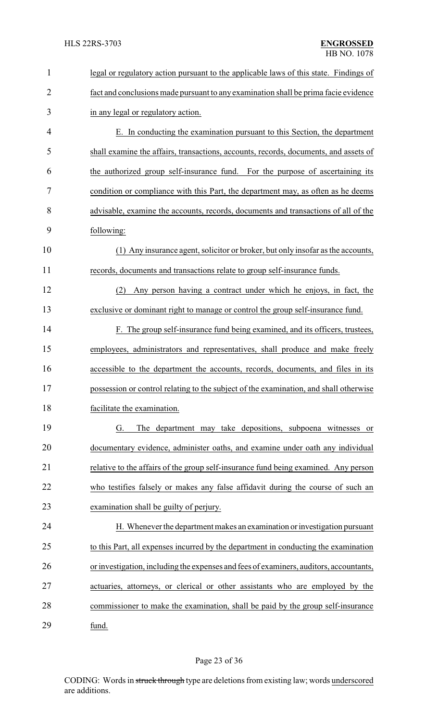| $\mathbf{1}$   | legal or regulatory action pursuant to the applicable laws of this state. Findings of  |
|----------------|----------------------------------------------------------------------------------------|
| $\overline{2}$ | fact and conclusions made pursuant to any examination shall be prima facie evidence    |
| 3              | in any legal or regulatory action.                                                     |
| 4              | E. In conducting the examination pursuant to this Section, the department              |
| 5              | shall examine the affairs, transactions, accounts, records, documents, and assets of   |
| 6              | the authorized group self-insurance fund. For the purpose of ascertaining its          |
| 7              | condition or compliance with this Part, the department may, as often as he deems       |
| 8              | advisable, examine the accounts, records, documents and transactions of all of the     |
| 9              | following:                                                                             |
| 10             | (1) Any insurance agent, solicitor or broker, but only insofar as the accounts,        |
| 11             | records, documents and transactions relate to group self-insurance funds.              |
| 12             | Any person having a contract under which he enjoys, in fact, the<br>(2)                |
| 13             | exclusive or dominant right to manage or control the group self-insurance fund.        |
| 14             | F. The group self-insurance fund being examined, and its officers, trustees,           |
| 15             | employees, administrators and representatives, shall produce and make freely           |
| 16             | accessible to the department the accounts, records, documents, and files in its        |
| 17             | possession or control relating to the subject of the examination, and shall otherwise  |
| 18             | facilitate the examination.                                                            |
| 19             | The department may take depositions, subpoena witnesses or<br>G.                       |
| 20             | documentary evidence, administer oaths, and examine under oath any individual          |
| 21             | relative to the affairs of the group self-insurance fund being examined. Any person    |
| 22             | who testifies falsely or makes any false affidavit during the course of such an        |
| 23             | examination shall be guilty of perjury.                                                |
| 24             | H. Whenever the department makes an examination or investigation pursuant              |
| 25             | to this Part, all expenses incurred by the department in conducting the examination    |
| 26             | or investigation, including the expenses and fees of examiners, auditors, accountants, |
| 27             | actuaries, attorneys, or clerical or other assistants who are employed by the          |
| 28             | commissioner to make the examination, shall be paid by the group self-insurance        |
| 29             | fund.                                                                                  |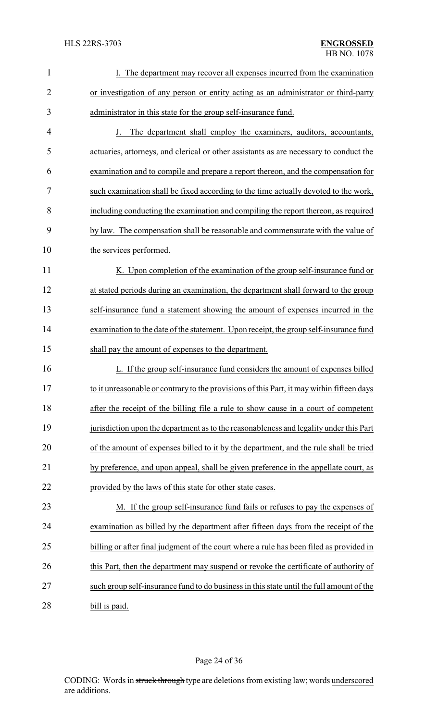| $\mathbf{1}$   | I. The department may recover all expenses incurred from the examination                  |
|----------------|-------------------------------------------------------------------------------------------|
| $\overline{2}$ | or investigation of any person or entity acting as an administrator or third-party        |
| 3              | administrator in this state for the group self-insurance fund.                            |
| 4              | J. The department shall employ the examiners, auditors, accountants,                      |
| 5              | actuaries, attorneys, and clerical or other assistants as are necessary to conduct the    |
| 6              | examination and to compile and prepare a report thereon, and the compensation for         |
| 7              | such examination shall be fixed according to the time actually devoted to the work,       |
| 8              | including conducting the examination and compiling the report thereon, as required        |
| 9              | by law. The compensation shall be reasonable and commensurate with the value of           |
| 10             | the services performed.                                                                   |
| 11             | K. Upon completion of the examination of the group self-insurance fund or                 |
| 12             | at stated periods during an examination, the department shall forward to the group        |
| 13             | self-insurance fund a statement showing the amount of expenses incurred in the            |
| 14             | examination to the date of the statement. Upon receipt, the group self-insurance fund     |
| 15             | shall pay the amount of expenses to the department.                                       |
| 16             | L. If the group self-insurance fund considers the amount of expenses billed               |
| 17             | to it unreasonable or contrary to the provisions of this Part, it may within fifteen days |
| 18             | after the receipt of the billing file a rule to show cause in a court of competent        |
| 19             | jurisdiction upon the department as to the reasonableness and legality under this Part    |
| 20             | of the amount of expenses billed to it by the department, and the rule shall be tried     |
| 21             | by preference, and upon appeal, shall be given preference in the appellate court, as      |
| 22             | provided by the laws of this state for other state cases.                                 |
| 23             | M. If the group self-insurance fund fails or refuses to pay the expenses of               |
| 24             | examination as billed by the department after fifteen days from the receipt of the        |
| 25             | billing or after final judgment of the court where a rule has been filed as provided in   |
| 26             | this Part, then the department may suspend or revoke the certificate of authority of      |
| 27             | such group self-insurance fund to do business in this state until the full amount of the  |
| 28             | bill is paid.                                                                             |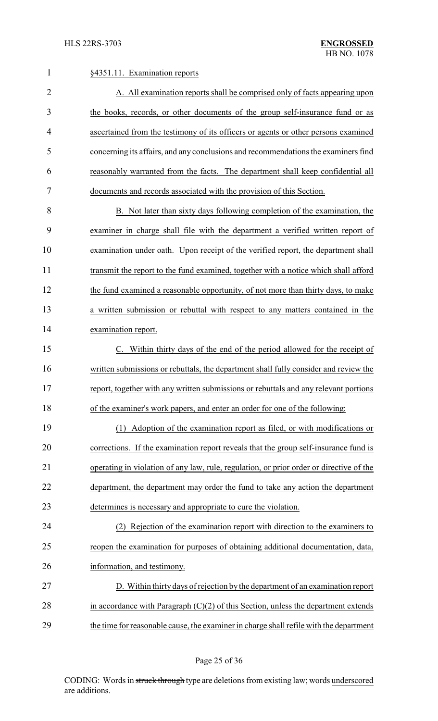| 1              | §4351.11. Examination reports                                                           |  |
|----------------|-----------------------------------------------------------------------------------------|--|
| $\overline{2}$ | A. All examination reports shall be comprised only of facts appearing upon              |  |
| 3              | the books, records, or other documents of the group self-insurance fund or as           |  |
| 4              | ascertained from the testimony of its officers or agents or other persons examined      |  |
| 5              | concerning its affairs, and any conclusions and recommendations the examiners find      |  |
| 6              | reasonably warranted from the facts. The department shall keep confidential all         |  |
| 7              | documents and records associated with the provision of this Section.                    |  |
| 8              | B. Not later than sixty days following completion of the examination, the               |  |
| 9              | examiner in charge shall file with the department a verified written report of          |  |
| 10             | examination under oath. Upon receipt of the verified report, the department shall       |  |
| 11             | transmit the report to the fund examined, together with a notice which shall afford     |  |
| 12             | the fund examined a reasonable opportunity, of not more than thirty days, to make       |  |
| 13             | a written submission or rebuttal with respect to any matters contained in the           |  |
| 14             | examination report.                                                                     |  |
| 15             | Within thirty days of the end of the period allowed for the receipt of                  |  |
| 16             | written submissions or rebuttals, the department shall fully consider and review the    |  |
| 17             | report, together with any written submissions or rebuttals and any relevant portions    |  |
| 18             | of the examiner's work papers, and enter an order for one of the following:             |  |
| 19             | (1) Adoption of the examination report as filed, or with modifications or               |  |
| 20             | corrections. If the examination report reveals that the group self-insurance fund is    |  |
| 21             | operating in violation of any law, rule, regulation, or prior order or directive of the |  |
| 22             | department, the department may order the fund to take any action the department         |  |
| 23             | determines is necessary and appropriate to cure the violation.                          |  |
| 24             | Rejection of the examination report with direction to the examiners to                  |  |
| 25             | reopen the examination for purposes of obtaining additional documentation, data,        |  |
| 26             | information, and testimony.                                                             |  |
| 27             | D. Within thirty days of rejection by the department of an examination report           |  |
| 28             | in accordance with Paragraph $(C)(2)$ of this Section, unless the department extends    |  |
| 29             | the time for reasonable cause, the examiner in charge shall refile with the department  |  |

Page 25 of 36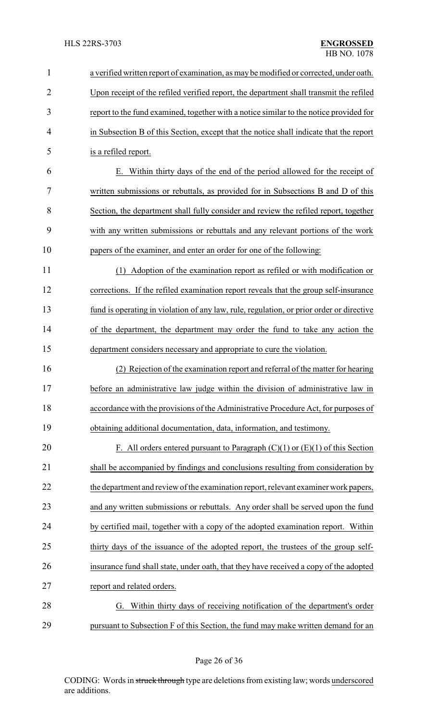| $\mathbf{1}$   | a verified written report of examination, as may be modified or corrected, under oath.   |  |
|----------------|------------------------------------------------------------------------------------------|--|
| $\overline{2}$ | Upon receipt of the refiled verified report, the department shall transmit the refiled   |  |
| 3              | report to the fund examined, together with a notice similar to the notice provided for   |  |
| 4              | in Subsection B of this Section, except that the notice shall indicate that the report   |  |
| 5              | is a refiled report.                                                                     |  |
| 6              | E. Within thirty days of the end of the period allowed for the receipt of                |  |
| 7              | written submissions or rebuttals, as provided for in Subsections B and D of this         |  |
| 8              | Section, the department shall fully consider and review the refiled report, together     |  |
| 9              | with any written submissions or rebuttals and any relevant portions of the work          |  |
| 10             | papers of the examiner, and enter an order for one of the following:                     |  |
| 11             | Adoption of the examination report as refiled or with modification or<br>(1)             |  |
| 12             | corrections. If the refiled examination report reveals that the group self-insurance     |  |
| 13             | fund is operating in violation of any law, rule, regulation, or prior order or directive |  |
| 14             | of the department, the department may order the fund to take any action the              |  |
| 15             | department considers necessary and appropriate to cure the violation.                    |  |
| 16             | Rejection of the examination report and referral of the matter for hearing               |  |
| 17             | before an administrative law judge within the division of administrative law in          |  |
| 18             | accordance with the provisions of the Administrative Procedure Act, for purposes of      |  |
| 19             | obtaining additional documentation, data, information, and testimony.                    |  |
| 20             | F. All orders entered pursuant to Paragraph $(C)(1)$ or $(E)(1)$ of this Section         |  |
| 21             | shall be accompanied by findings and conclusions resulting from consideration by         |  |
| 22             | the department and review of the examination report, relevant examiner work papers,      |  |
| 23             | and any written submissions or rebuttals. Any order shall be served upon the fund        |  |
| 24             | by certified mail, together with a copy of the adopted examination report. Within        |  |
| 25             | thirty days of the issuance of the adopted report, the trustees of the group self-       |  |
| 26             | insurance fund shall state, under oath, that they have received a copy of the adopted    |  |
| 27             | report and related orders.                                                               |  |
| 28             | G. Within thirty days of receiving notification of the department's order                |  |
| 29             | pursuant to Subsection F of this Section, the fund may make written demand for an        |  |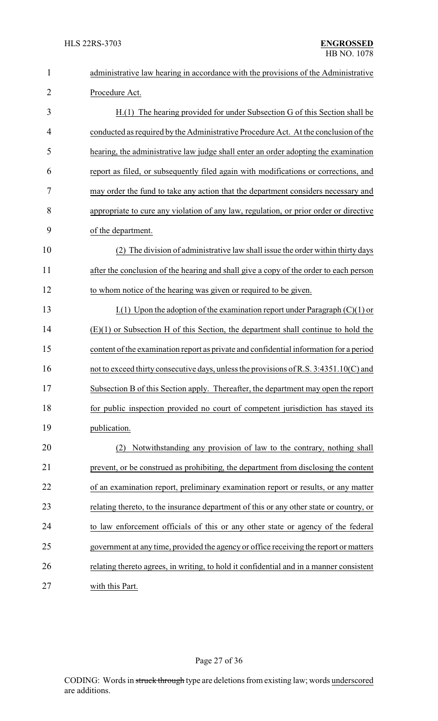| $\mathbf{1}$   | administrative law hearing in accordance with the provisions of the Administrative      |  |  |
|----------------|-----------------------------------------------------------------------------------------|--|--|
| $\overline{2}$ | Procedure Act.                                                                          |  |  |
| 3              | H.(1) The hearing provided for under Subsection G of this Section shall be              |  |  |
| 4              | conducted as required by the Administrative Procedure Act. At the conclusion of the     |  |  |
| 5              | hearing, the administrative law judge shall enter an order adopting the examination     |  |  |
| 6              | report as filed, or subsequently filed again with modifications or corrections, and     |  |  |
| 7              | may order the fund to take any action that the department considers necessary and       |  |  |
| 8              | appropriate to cure any violation of any law, regulation, or prior order or directive   |  |  |
| 9              | of the department.                                                                      |  |  |
| 10             | The division of administrative law shall issue the order within thirty days<br>(2)      |  |  |
| 11             | after the conclusion of the hearing and shall give a copy of the order to each person   |  |  |
| 12             | to whom notice of the hearing was given or required to be given.                        |  |  |
| 13             | $I(1)$ Upon the adoption of the examination report under Paragraph (C)(1) or            |  |  |
| 14             | $(E)(1)$ or Subsection H of this Section, the department shall continue to hold the     |  |  |
| 15             | content of the examination report as private and confidential information for a period  |  |  |
| 16             | not to exceed thirty consecutive days, unless the provisions of R.S. 3:4351.10(C) and   |  |  |
| 17             | Subsection B of this Section apply. Thereafter, the department may open the report      |  |  |
| 18             | for public inspection provided no court of competent jurisdiction has stayed its        |  |  |
| 19             | publication.                                                                            |  |  |
| 20             | Notwithstanding any provision of law to the contrary, nothing shall<br>(2)              |  |  |
| 21             | prevent, or be construed as prohibiting, the department from disclosing the content     |  |  |
| 22             | of an examination report, preliminary examination report or results, or any matter      |  |  |
| 23             | relating thereto, to the insurance department of this or any other state or country, or |  |  |
| 24             | to law enforcement officials of this or any other state or agency of the federal        |  |  |
| 25             | government at any time, provided the agency or office receiving the report or matters   |  |  |
| 26             | relating thereto agrees, in writing, to hold it confidential and in a manner consistent |  |  |
| 27             | with this Part.                                                                         |  |  |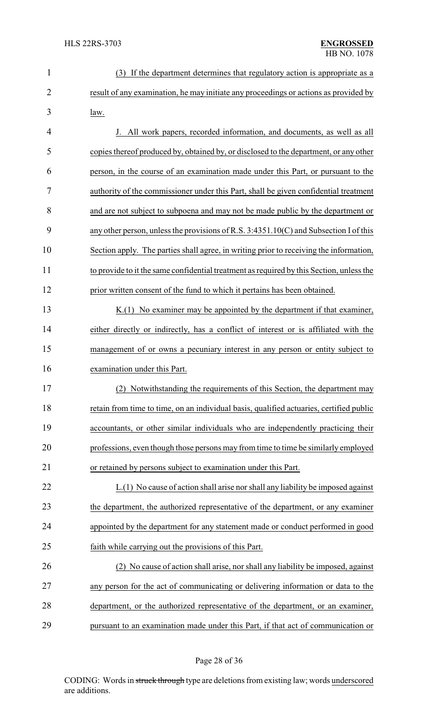| $\mathbf{1}$   | (3) If the department determines that regulatory action is appropriate as a              |
|----------------|------------------------------------------------------------------------------------------|
| $\overline{2}$ | result of any examination, he may initiate any proceedings or actions as provided by     |
| 3              | law.                                                                                     |
| 4              | J. All work papers, recorded information, and documents, as well as all                  |
| 5              | copies thereof produced by, obtained by, or disclosed to the department, or any other    |
| 6              | person, in the course of an examination made under this Part, or pursuant to the         |
| 7              | authority of the commissioner under this Part, shall be given confidential treatment     |
| 8              | and are not subject to subpoena and may not be made public by the department or          |
| 9              | any other person, unless the provisions of R.S. $3:4351.10(C)$ and Subsection I of this  |
| 10             | Section apply. The parties shall agree, in writing prior to receiving the information,   |
| 11             | to provide to it the same confidential treatment as required by this Section, unless the |
| 12             | prior written consent of the fund to which it pertains has been obtained.                |
| 13             | $K(1)$ No examiner may be appointed by the department if that examiner,                  |
| 14             | either directly or indirectly, has a conflict of interest or is affiliated with the      |
| 15             | management of or owns a pecuniary interest in any person or entity subject to            |
| 16             | examination under this Part.                                                             |
| 17             | Notwithstanding the requirements of this Section, the department may<br>(2)              |
| 18             | retain from time to time, on an individual basis, qualified actuaries, certified public  |
| 19             | accountants, or other similar individuals who are independently practicing their         |
| 20             | professions, even though those persons may from time to time be similarly employed       |
| 21             | or retained by persons subject to examination under this Part.                           |
| 22             | L.(1) No cause of action shall arise nor shall any liability be imposed against          |
| 23             | the department, the authorized representative of the department, or any examiner         |
| 24             | appointed by the department for any statement made or conduct performed in good          |
| 25             | faith while carrying out the provisions of this Part.                                    |
| 26             | (2) No cause of action shall arise, nor shall any liability be imposed, against          |
| 27             | any person for the act of communicating or delivering information or data to the         |
| 28             | department, or the authorized representative of the department, or an examiner,          |
| 29             | pursuant to an examination made under this Part, if that act of communication or         |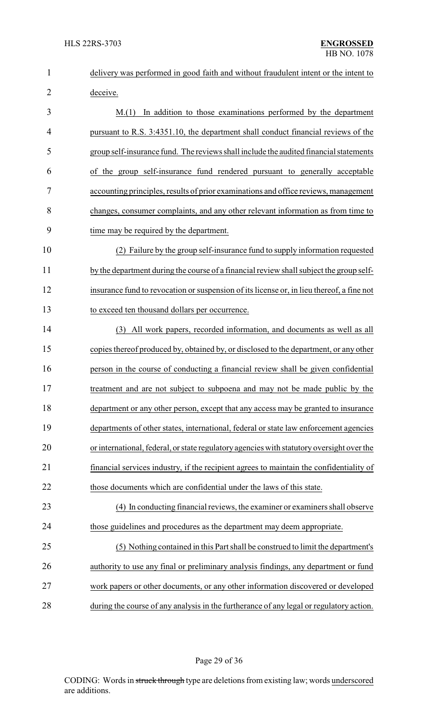| $\mathbf{1}$   | delivery was performed in good faith and without fraudulent intent or the intent to       |  |
|----------------|-------------------------------------------------------------------------------------------|--|
| $\overline{2}$ | deceive.                                                                                  |  |
| 3              | In addition to those examinations performed by the department<br>M(1)                     |  |
| 4              | pursuant to R.S. 3:4351.10, the department shall conduct financial reviews of the         |  |
| 5              | group self-insurance fund. The reviews shall include the audited financial statements     |  |
| 6              | of the group self-insurance fund rendered pursuant to generally acceptable                |  |
| 7              | accounting principles, results of prior examinations and office reviews, management       |  |
| 8              | changes, consumer complaints, and any other relevant information as from time to          |  |
| 9              | time may be required by the department.                                                   |  |
| 10             | (2) Failure by the group self-insurance fund to supply information requested              |  |
| 11             | by the department during the course of a financial review shall subject the group self-   |  |
| 12             | insurance fund to revocation or suspension of its license or, in lieu thereof, a fine not |  |
| 13             | to exceed ten thousand dollars per occurrence.                                            |  |
| 14             | (3) All work papers, recorded information, and documents as well as all                   |  |
| 15             | copies thereof produced by, obtained by, or disclosed to the department, or any other     |  |
| 16             | person in the course of conducting a financial review shall be given confidential         |  |
| 17             | treatment and are not subject to subpoena and may not be made public by the               |  |
| 18             | department or any other person, except that any access may be granted to insurance        |  |
| 19             | departments of other states, international, federal or state law enforcement agencies     |  |
| 20             | or international, federal, or state regulatory agencies with statutory oversight over the |  |
| 21             | financial services industry, if the recipient agrees to maintain the confidentiality of   |  |
| 22             | those documents which are confidential under the laws of this state.                      |  |
| 23             | (4) In conducting financial reviews, the examiner or examiners shall observe              |  |
| 24             | those guidelines and procedures as the department may deem appropriate.                   |  |
| 25             | (5) Nothing contained in this Part shall be construed to limit the department's           |  |
| 26             | authority to use any final or preliminary analysis findings, any department or fund       |  |
| 27             | work papers or other documents, or any other information discovered or developed          |  |
| 28             | during the course of any analysis in the furtherance of any legal or regulatory action.   |  |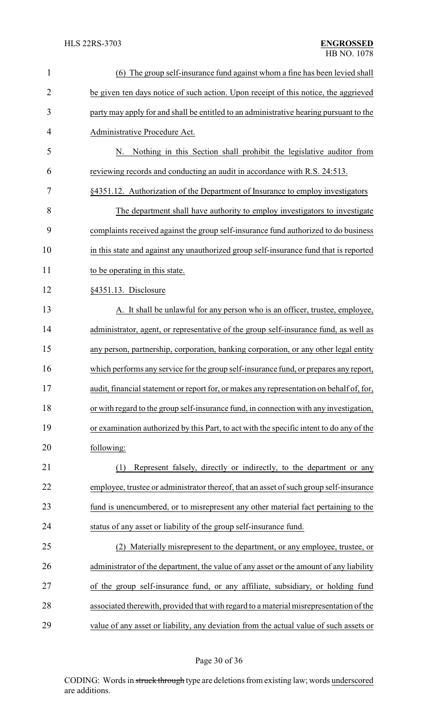| $\mathbf{1}$   | (6) The group self-insurance fund against whom a fine has been levied shall              |  |  |
|----------------|------------------------------------------------------------------------------------------|--|--|
| $\overline{2}$ | be given ten days notice of such action. Upon receipt of this notice, the aggrieved      |  |  |
| 3              | party may apply for and shall be entitled to an administrative hearing pursuant to the   |  |  |
| 4              | Administrative Procedure Act.                                                            |  |  |
| 5              | Nothing in this Section shall prohibit the legislative auditor from<br>N.                |  |  |
| 6              | reviewing records and conducting an audit in accordance with R.S. 24:513.                |  |  |
| 7              | §4351.12. Authorization of the Department of Insurance to employ investigators           |  |  |
| 8              | The department shall have authority to employ investigators to investigate               |  |  |
| 9              | complaints received against the group self-insurance fund authorized to do business      |  |  |
| 10             | in this state and against any unauthorized group self-insurance fund that is reported    |  |  |
| 11             | to be operating in this state.                                                           |  |  |
| 12             | §4351.13. Disclosure                                                                     |  |  |
| 13             | A. It shall be unlawful for any person who is an officer, trustee, employee,             |  |  |
| 14             | administrator, agent, or representative of the group self-insurance fund, as well as     |  |  |
| 15             | any person, partnership, corporation, banking corporation, or any other legal entity     |  |  |
| 16             | which performs any service for the group self-insurance fund, or prepares any report,    |  |  |
| 17             | audit, financial statement or report for, or makes any representation on behalf of, for, |  |  |
| 18             | or with regard to the group self-insurance fund, in connection with any investigation,   |  |  |
| 19             | or examination authorized by this Part, to act with the specific intent to do any of the |  |  |
| 20             | following:                                                                               |  |  |
| 21             | Represent falsely, directly or indirectly, to the department or any<br>(1)               |  |  |
| 22             | employee, trustee or administrator thereof, that an asset of such group self-insurance   |  |  |
| 23             | fund is unencumbered, or to misrepresent any other material fact pertaining to the       |  |  |
| 24             | status of any asset or liability of the group self-insurance fund.                       |  |  |
| 25             | Materially misrepresent to the department, or any employee, trustee, or                  |  |  |
| 26             | administrator of the department, the value of any asset or the amount of any liability   |  |  |
| 27             | of the group self-insurance fund, or any affiliate, subsidiary, or holding fund          |  |  |
| 28             | associated therewith, provided that with regard to a material misrepresentation of the   |  |  |
| 29             | value of any asset or liability, any deviation from the actual value of such assets or   |  |  |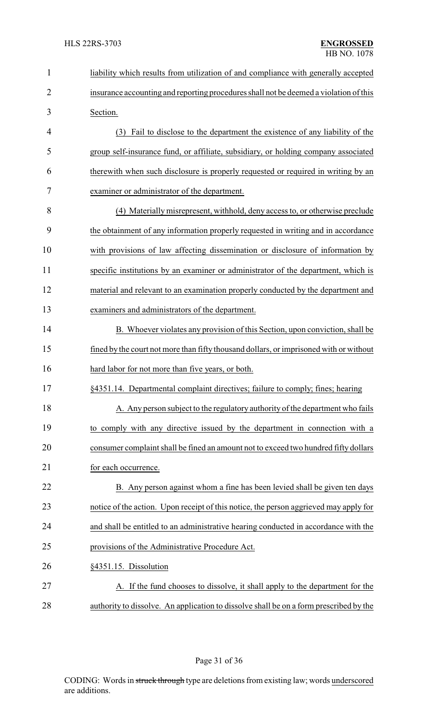| $\mathbf{1}$   | liability which results from utilization of and compliance with generally accepted     |
|----------------|----------------------------------------------------------------------------------------|
| $\overline{c}$ | insurance accounting and reporting procedures shall not be deemed a violation of this  |
| 3              | Section.                                                                               |
| 4              | (3) Fail to disclose to the department the existence of any liability of the           |
| 5              | group self-insurance fund, or affiliate, subsidiary, or holding company associated     |
| 6              | therewith when such disclosure is properly requested or required in writing by an      |
| 7              | examiner or administrator of the department.                                           |
| 8              | (4) Materially misrepresent, withhold, deny access to, or otherwise preclude           |
| 9              | the obtainment of any information properly requested in writing and in accordance      |
| 10             | with provisions of law affecting dissemination or disclosure of information by         |
| 11             | specific institutions by an examiner or administrator of the department, which is      |
| 12             | material and relevant to an examination properly conducted by the department and       |
| 13             | examiners and administrators of the department.                                        |
| 14             | B. Whoever violates any provision of this Section, upon conviction, shall be           |
| 15             | fined by the court not more than fifty thousand dollars, or imprisoned with or without |
| 16             | hard labor for not more than five years, or both.                                      |
| 17             | §4351.14. Departmental complaint directives; failure to comply; fines; hearing         |
| 18             | A. Any person subject to the regulatory authority of the department who fails          |
| 19             | to comply with any directive issued by the department in connection with a             |
| 20             | consumer complaint shall be fined an amount not to exceed two hundred fifty dollars    |
| 21             | for each occurrence.                                                                   |
| 22             | B. Any person against whom a fine has been levied shall be given ten days              |
| 23             | notice of the action. Upon receipt of this notice, the person aggrieved may apply for  |
| 24             | and shall be entitled to an administrative hearing conducted in accordance with the    |
| 25             | provisions of the Administrative Procedure Act.                                        |
| 26             | §4351.15. Dissolution                                                                  |
| 27             | A. If the fund chooses to dissolve, it shall apply to the department for the           |
| 28             | authority to dissolve. An application to dissolve shall be on a form prescribed by the |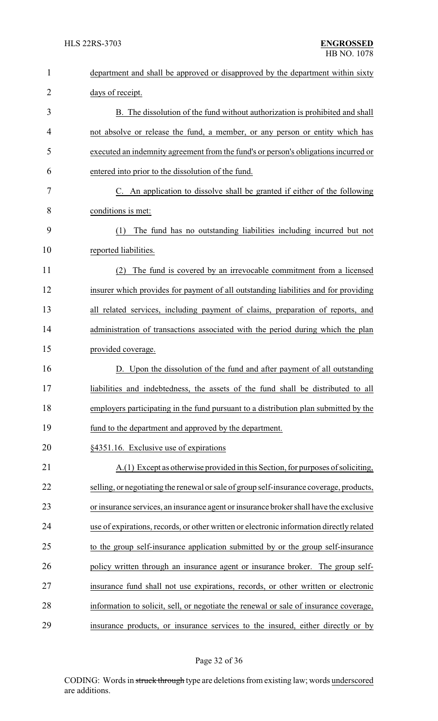| $\mathbf{1}$ | department and shall be approved or disapproved by the department within sixty           |  |  |
|--------------|------------------------------------------------------------------------------------------|--|--|
| 2            | days of receipt.                                                                         |  |  |
| 3            | B. The dissolution of the fund without authorization is prohibited and shall             |  |  |
| 4            | not absolve or release the fund, a member, or any person or entity which has             |  |  |
| 5            | executed an indemnity agreement from the fund's or person's obligations incurred or      |  |  |
| 6            | entered into prior to the dissolution of the fund.                                       |  |  |
| 7            | C. An application to dissolve shall be granted if either of the following                |  |  |
| 8            | conditions is met:                                                                       |  |  |
| 9            | The fund has no outstanding liabilities including incurred but not<br>(1)                |  |  |
| 10           | reported liabilities.                                                                    |  |  |
| 11           | The fund is covered by an irrevocable commitment from a licensed<br>(2)                  |  |  |
| 12           | insurer which provides for payment of all outstanding liabilities and for providing      |  |  |
| 13           | all related services, including payment of claims, preparation of reports, and           |  |  |
| 14           | administration of transactions associated with the period during which the plan          |  |  |
| 15           | provided coverage.                                                                       |  |  |
| 16           | D. Upon the dissolution of the fund and after payment of all outstanding                 |  |  |
| 17           | liabilities and indebtedness, the assets of the fund shall be distributed to all         |  |  |
| 18           | employers participating in the fund pursuant to a distribution plan submitted by the     |  |  |
| 19           | fund to the department and approved by the department.                                   |  |  |
| 20           | §4351.16. Exclusive use of expirations                                                   |  |  |
| 21           | A.(1) Except as otherwise provided in this Section, for purposes of soliciting,          |  |  |
| 22           | selling, or negotiating the renewal or sale of group self-insurance coverage, products,  |  |  |
| 23           | or insurance services, an insurance agent or insurance broker shall have the exclusive   |  |  |
| 24           | use of expirations, records, or other written or electronic information directly related |  |  |
| 25           | to the group self-insurance application submitted by or the group self-insurance         |  |  |
| 26           | policy written through an insurance agent or insurance broker. The group self-           |  |  |
| 27           | insurance fund shall not use expirations, records, or other written or electronic        |  |  |
| 28           | information to solicit, sell, or negotiate the renewal or sale of insurance coverage,    |  |  |
| 29           | insurance products, or insurance services to the insured, either directly or by          |  |  |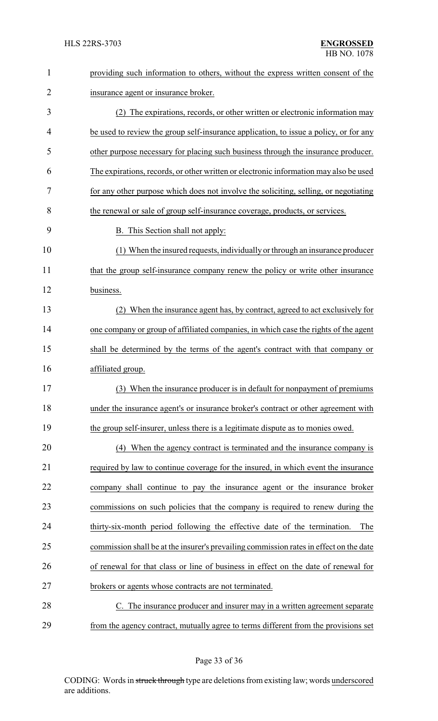| $\mathbf{1}$   | providing such information to others, without the express written consent of the       |
|----------------|----------------------------------------------------------------------------------------|
| $\overline{2}$ | insurance agent or insurance broker.                                                   |
| 3              | (2) The expirations, records, or other written or electronic information may           |
| 4              | be used to review the group self-insurance application, to issue a policy, or for any  |
| 5              | other purpose necessary for placing such business through the insurance producer.      |
| 6              | The expirations, records, or other written or electronic information may also be used  |
| 7              | for any other purpose which does not involve the soliciting, selling, or negotiating   |
| 8              | the renewal or sale of group self-insurance coverage, products, or services.           |
| 9              | B. This Section shall not apply:                                                       |
| 10             | (1) When the insured requests, individually or through an insurance producer           |
| 11             | that the group self-insurance company renew the policy or write other insurance        |
| 12             | business.                                                                              |
| 13             | When the insurance agent has, by contract, agreed to act exclusively for               |
| 14             | one company or group of affiliated companies, in which case the rights of the agent    |
| 15             | shall be determined by the terms of the agent's contract with that company or          |
| 16             | affiliated group.                                                                      |
| 17             | (3) When the insurance producer is in default for nonpayment of premiums               |
| 18             | under the insurance agent's or insurance broker's contract or other agreement with     |
| 19             | the group self-insurer, unless there is a legitimate dispute as to monies owed.        |
| 20             | (4) When the agency contract is terminated and the insurance company is                |
| 21             | required by law to continue coverage for the insured, in which event the insurance     |
| 22             | company shall continue to pay the insurance agent or the insurance broker              |
| 23             | commissions on such policies that the company is required to renew during the          |
| 24             | thirty-six-month period following the effective date of the termination.<br>The        |
| 25             | commission shall be at the insurer's prevailing commission rates in effect on the date |
| 26             | of renewal for that class or line of business in effect on the date of renewal for     |
| 27             | brokers or agents whose contracts are not terminated.                                  |
| 28             | C. The insurance producer and insurer may in a written agreement separate              |
| 29             | from the agency contract, mutually agree to terms different from the provisions set    |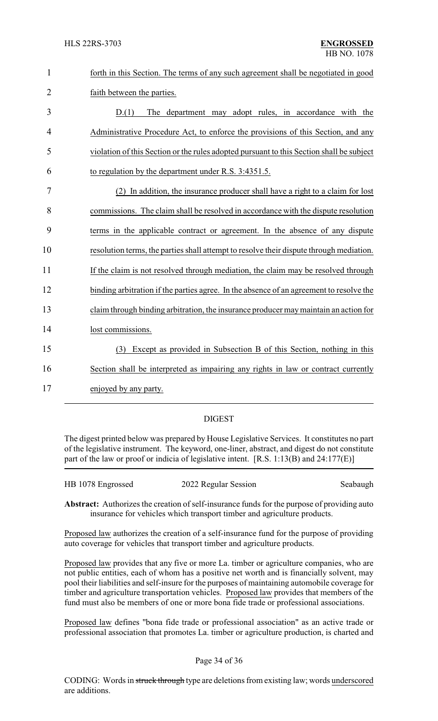| forth in this Section. The terms of any such agreement shall be negotiated in good |
|------------------------------------------------------------------------------------|
| faith between the parties.                                                         |

 D.(1) The department may adopt rules, in accordance with the Administrative Procedure Act, to enforce the provisions of this Section, and any violation of this Section or the rules adopted pursuant to this Section shall be subject to regulation by the department under R.S. 3:4351.5.

 (2) In addition, the insurance producer shall have a right to a claim for lost commissions. The claim shall be resolved in accordance with the dispute resolution terms in the applicable contract or agreement. In the absence of any dispute resolution terms, the parties shall attempt to resolve their dispute through mediation. 11 If the claim is not resolved through mediation, the claim may be resolved through 12 binding arbitration if the parties agree. In the absence of an agreement to resolve the claim through binding arbitration, the insurance producer maymaintain an action for lost commissions. (3) Except as provided in Subsection B of this Section, nothing in this Section shall be interpreted as impairing any rights in law or contract currently enjoyed by any party.

### DIGEST

The digest printed below was prepared by House Legislative Services. It constitutes no part of the legislative instrument. The keyword, one-liner, abstract, and digest do not constitute part of the law or proof or indicia of legislative intent. [R.S. 1:13(B) and 24:177(E)]

| HB 1078 Engrossed | 2022 Regular Session | Seabaugh |
|-------------------|----------------------|----------|
|                   |                      |          |

**Abstract:** Authorizes the creation of self-insurance funds for the purpose of providing auto insurance for vehicles which transport timber and agriculture products.

Proposed law authorizes the creation of a self-insurance fund for the purpose of providing auto coverage for vehicles that transport timber and agriculture products.

Proposed law provides that any five or more La. timber or agriculture companies, who are not public entities, each of whom has a positive net worth and is financially solvent, may pool their liabilities and self-insure for the purposes of maintaining automobile coverage for timber and agriculture transportation vehicles. Proposed law provides that members of the fund must also be members of one or more bona fide trade or professional associations.

Proposed law defines "bona fide trade or professional association" as an active trade or professional association that promotes La. timber or agriculture production, is charted and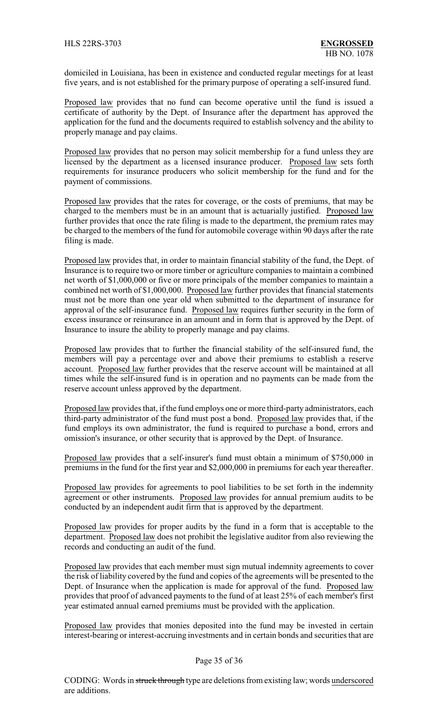domiciled in Louisiana, has been in existence and conducted regular meetings for at least five years, and is not established for the primary purpose of operating a self-insured fund.

Proposed law provides that no fund can become operative until the fund is issued a certificate of authority by the Dept. of Insurance after the department has approved the application for the fund and the documents required to establish solvency and the ability to properly manage and pay claims.

Proposed law provides that no person may solicit membership for a fund unless they are licensed by the department as a licensed insurance producer. Proposed law sets forth requirements for insurance producers who solicit membership for the fund and for the payment of commissions.

Proposed law provides that the rates for coverage, or the costs of premiums, that may be charged to the members must be in an amount that is actuarially justified. Proposed law further provides that once the rate filing is made to the department, the premium rates may be charged to the members of the fund for automobile coverage within 90 days after the rate filing is made.

Proposed law provides that, in order to maintain financial stability of the fund, the Dept. of Insurance is to require two or more timber or agriculture companies to maintain a combined net worth of \$1,000,000 or five or more principals of the member companies to maintain a combined net worth of \$1,000,000. Proposed law further provides that financial statements must not be more than one year old when submitted to the department of insurance for approval of the self-insurance fund. Proposed law requires further security in the form of excess insurance or reinsurance in an amount and in form that is approved by the Dept. of Insurance to insure the ability to properly manage and pay claims.

Proposed law provides that to further the financial stability of the self-insured fund, the members will pay a percentage over and above their premiums to establish a reserve account. Proposed law further provides that the reserve account will be maintained at all times while the self-insured fund is in operation and no payments can be made from the reserve account unless approved by the department.

Proposed law provides that, if the fund employs one or more third-party administrators, each third-party administrator of the fund must post a bond. Proposed law provides that, if the fund employs its own administrator, the fund is required to purchase a bond, errors and omission's insurance, or other security that is approved by the Dept. of Insurance.

Proposed law provides that a self-insurer's fund must obtain a minimum of \$750,000 in premiums in the fund for the first year and \$2,000,000 in premiums for each year thereafter.

Proposed law provides for agreements to pool liabilities to be set forth in the indemnity agreement or other instruments. Proposed law provides for annual premium audits to be conducted by an independent audit firm that is approved by the department.

Proposed law provides for proper audits by the fund in a form that is acceptable to the department. Proposed law does not prohibit the legislative auditor from also reviewing the records and conducting an audit of the fund.

Proposed law provides that each member must sign mutual indemnity agreements to cover the risk of liability covered by the fund and copies of the agreements will be presented to the Dept. of Insurance when the application is made for approval of the fund. Proposed law provides that proof of advanced payments to the fund of at least 25% of each member's first year estimated annual earned premiums must be provided with the application.

Proposed law provides that monies deposited into the fund may be invested in certain interest-bearing or interest-accruing investments and in certain bonds and securities that are

#### Page 35 of 36